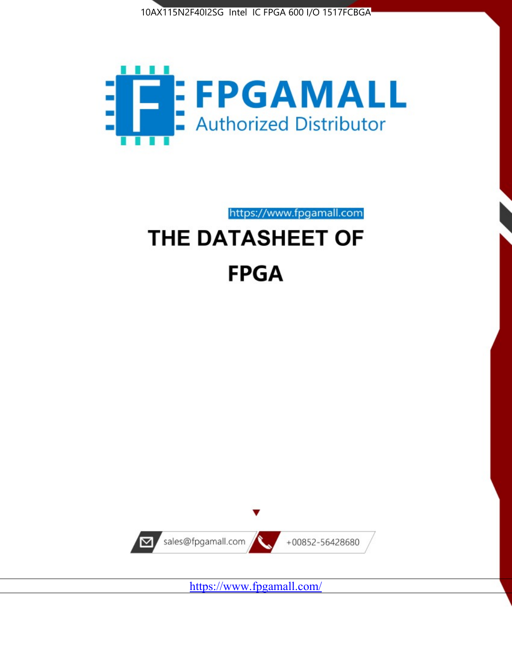



https://www.fpgamall.com

# THE DATASHEET OF **FPGA**



<https://www.fpgamall.com/>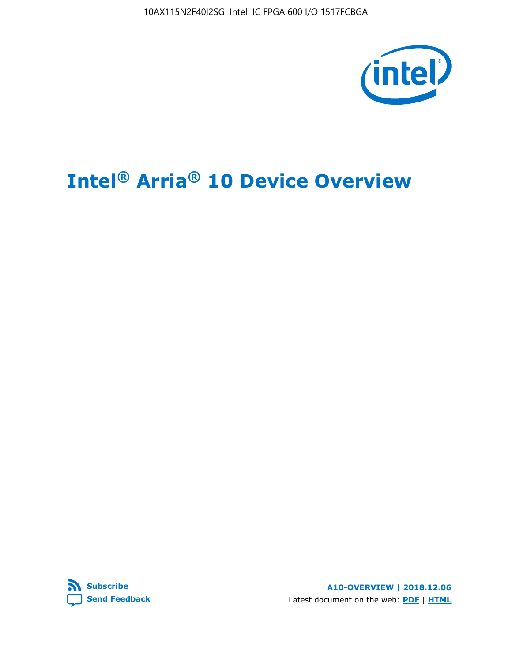10AX115N2F40I2SG Intel IC FPGA 600 I/O 1517FCBGA



# **Intel® Arria® 10 Device Overview**



**A10-OVERVIEW | 2018.12.06** Latest document on the web: **[PDF](https://www.intel.com/content/dam/www/programmable/us/en/pdfs/literature/hb/arria-10/a10_overview.pdf)** | **[HTML](https://www.intel.com/content/www/us/en/programmable/documentation/sam1403480274650.html)**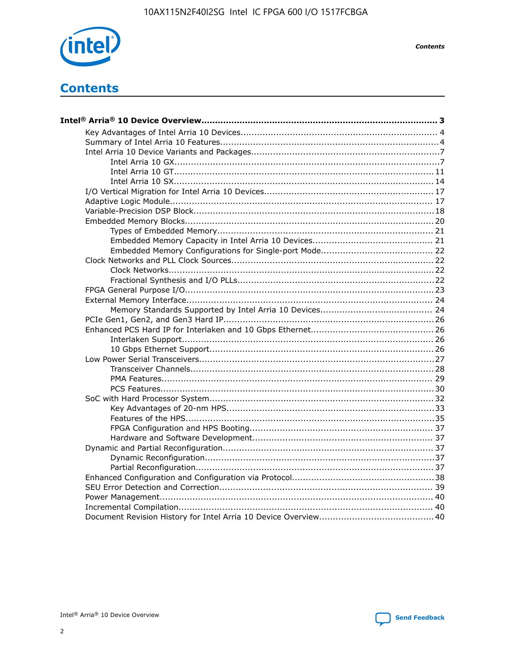

**Contents** 

## **Contents**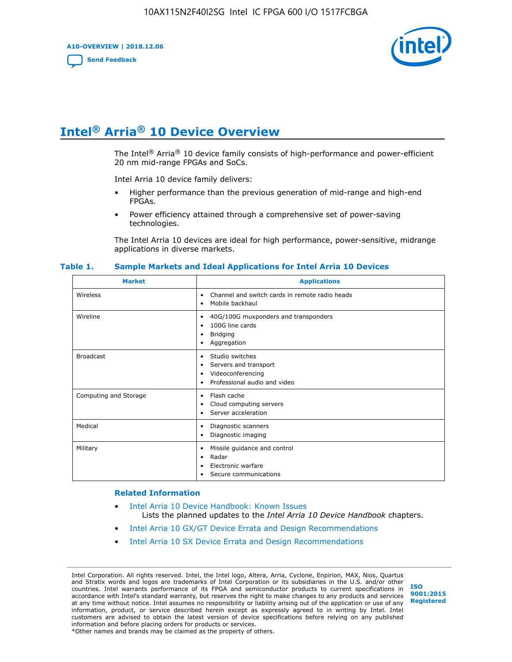**A10-OVERVIEW | 2018.12.06**

**[Send Feedback](mailto:FPGAtechdocfeedback@intel.com?subject=Feedback%20on%20Intel%20Arria%2010%20Device%20Overview%20(A10-OVERVIEW%202018.12.06)&body=We%20appreciate%20your%20feedback.%20In%20your%20comments,%20also%20specify%20the%20page%20number%20or%20paragraph.%20Thank%20you.)**



# **Intel® Arria® 10 Device Overview**

The Intel<sup>®</sup> Arria<sup>®</sup> 10 device family consists of high-performance and power-efficient 20 nm mid-range FPGAs and SoCs.

Intel Arria 10 device family delivers:

- Higher performance than the previous generation of mid-range and high-end FPGAs.
- Power efficiency attained through a comprehensive set of power-saving technologies.

The Intel Arria 10 devices are ideal for high performance, power-sensitive, midrange applications in diverse markets.

| <b>Market</b>         | <b>Applications</b>                                                                                               |
|-----------------------|-------------------------------------------------------------------------------------------------------------------|
| Wireless              | Channel and switch cards in remote radio heads<br>٠<br>Mobile backhaul<br>٠                                       |
| Wireline              | 40G/100G muxponders and transponders<br>٠<br>100G line cards<br>٠<br><b>Bridging</b><br>٠<br>Aggregation<br>٠     |
| <b>Broadcast</b>      | Studio switches<br>٠<br>Servers and transport<br>٠<br>Videoconferencing<br>٠<br>Professional audio and video<br>٠ |
| Computing and Storage | Flash cache<br>٠<br>Cloud computing servers<br>٠<br>Server acceleration<br>٠                                      |
| Medical               | Diagnostic scanners<br>٠<br>Diagnostic imaging<br>٠                                                               |
| Military              | Missile guidance and control<br>٠<br>Radar<br>٠<br>Electronic warfare<br>٠<br>Secure communications<br>٠          |

#### **Table 1. Sample Markets and Ideal Applications for Intel Arria 10 Devices**

#### **Related Information**

- [Intel Arria 10 Device Handbook: Known Issues](http://www.altera.com/support/kdb/solutions/rd07302013_646.html) Lists the planned updates to the *Intel Arria 10 Device Handbook* chapters.
- [Intel Arria 10 GX/GT Device Errata and Design Recommendations](https://www.intel.com/content/www/us/en/programmable/documentation/agz1493851706374.html#yqz1494433888646)
- [Intel Arria 10 SX Device Errata and Design Recommendations](https://www.intel.com/content/www/us/en/programmable/documentation/cru1462832385668.html#cru1462832558642)

Intel Corporation. All rights reserved. Intel, the Intel logo, Altera, Arria, Cyclone, Enpirion, MAX, Nios, Quartus and Stratix words and logos are trademarks of Intel Corporation or its subsidiaries in the U.S. and/or other countries. Intel warrants performance of its FPGA and semiconductor products to current specifications in accordance with Intel's standard warranty, but reserves the right to make changes to any products and services at any time without notice. Intel assumes no responsibility or liability arising out of the application or use of any information, product, or service described herein except as expressly agreed to in writing by Intel. Intel customers are advised to obtain the latest version of device specifications before relying on any published information and before placing orders for products or services. \*Other names and brands may be claimed as the property of others.

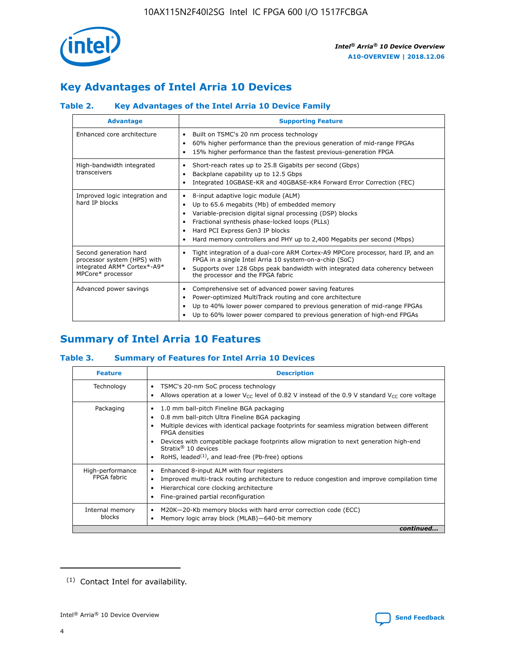

### **Key Advantages of Intel Arria 10 Devices**

### **Table 2. Key Advantages of the Intel Arria 10 Device Family**

| <b>Advantage</b>                                                                                          | <b>Supporting Feature</b>                                                                                                                                                                                                                                                                                                |
|-----------------------------------------------------------------------------------------------------------|--------------------------------------------------------------------------------------------------------------------------------------------------------------------------------------------------------------------------------------------------------------------------------------------------------------------------|
| Enhanced core architecture                                                                                | Built on TSMC's 20 nm process technology<br>٠<br>60% higher performance than the previous generation of mid-range FPGAs<br>٠<br>15% higher performance than the fastest previous-generation FPGA<br>٠                                                                                                                    |
| High-bandwidth integrated<br>transceivers                                                                 | Short-reach rates up to 25.8 Gigabits per second (Gbps)<br>٠<br>Backplane capability up to 12.5 Gbps<br>٠<br>Integrated 10GBASE-KR and 40GBASE-KR4 Forward Error Correction (FEC)<br>٠                                                                                                                                   |
| Improved logic integration and<br>hard IP blocks                                                          | 8-input adaptive logic module (ALM)<br>٠<br>Up to 65.6 megabits (Mb) of embedded memory<br>٠<br>Variable-precision digital signal processing (DSP) blocks<br>Fractional synthesis phase-locked loops (PLLs)<br>Hard PCI Express Gen3 IP blocks<br>Hard memory controllers and PHY up to 2,400 Megabits per second (Mbps) |
| Second generation hard<br>processor system (HPS) with<br>integrated ARM* Cortex*-A9*<br>MPCore* processor | Tight integration of a dual-core ARM Cortex-A9 MPCore processor, hard IP, and an<br>٠<br>FPGA in a single Intel Arria 10 system-on-a-chip (SoC)<br>Supports over 128 Gbps peak bandwidth with integrated data coherency between<br>$\bullet$<br>the processor and the FPGA fabric                                        |
| Advanced power savings                                                                                    | Comprehensive set of advanced power saving features<br>٠<br>Power-optimized MultiTrack routing and core architecture<br>٠<br>Up to 40% lower power compared to previous generation of mid-range FPGAs<br>Up to 60% lower power compared to previous generation of high-end FPGAs                                         |

### **Summary of Intel Arria 10 Features**

### **Table 3. Summary of Features for Intel Arria 10 Devices**

| <b>Feature</b>                  | <b>Description</b>                                                                                                                                                                                                                                                                                                                                                                                       |
|---------------------------------|----------------------------------------------------------------------------------------------------------------------------------------------------------------------------------------------------------------------------------------------------------------------------------------------------------------------------------------------------------------------------------------------------------|
| Technology                      | TSMC's 20-nm SoC process technology<br>٠<br>Allows operation at a lower $V_{\text{CC}}$ level of 0.82 V instead of the 0.9 V standard $V_{\text{CC}}$ core voltage                                                                                                                                                                                                                                       |
| Packaging                       | 1.0 mm ball-pitch Fineline BGA packaging<br>0.8 mm ball-pitch Ultra Fineline BGA packaging<br>Multiple devices with identical package footprints for seamless migration between different<br><b>FPGA</b> densities<br>Devices with compatible package footprints allow migration to next generation high-end<br>Stratix $\mathcal{R}$ 10 devices<br>RoHS, leaded $(1)$ , and lead-free (Pb-free) options |
| High-performance<br>FPGA fabric | Enhanced 8-input ALM with four registers<br>٠<br>Improved multi-track routing architecture to reduce congestion and improve compilation time<br>Hierarchical core clocking architecture<br>Fine-grained partial reconfiguration                                                                                                                                                                          |
| Internal memory<br>blocks       | M20K-20-Kb memory blocks with hard error correction code (ECC)<br>Memory logic array block (MLAB)-640-bit memory                                                                                                                                                                                                                                                                                         |
|                                 | continued                                                                                                                                                                                                                                                                                                                                                                                                |



<sup>(1)</sup> Contact Intel for availability.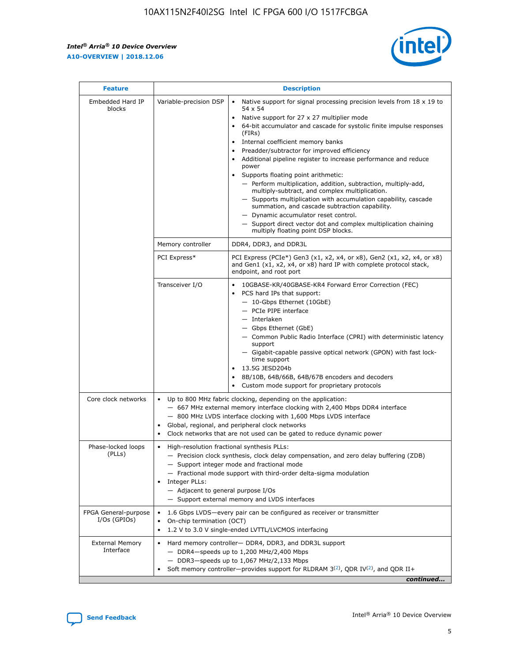r



| <b>Feature</b>                         | <b>Description</b>                                                                                                                                                                                                                                                                                                                |                                                                                                                                                                                                                                                                                                                                                                                                                                                                                                                                                                                                                                                                                                                                                                                                                                                                  |  |  |  |  |  |
|----------------------------------------|-----------------------------------------------------------------------------------------------------------------------------------------------------------------------------------------------------------------------------------------------------------------------------------------------------------------------------------|------------------------------------------------------------------------------------------------------------------------------------------------------------------------------------------------------------------------------------------------------------------------------------------------------------------------------------------------------------------------------------------------------------------------------------------------------------------------------------------------------------------------------------------------------------------------------------------------------------------------------------------------------------------------------------------------------------------------------------------------------------------------------------------------------------------------------------------------------------------|--|--|--|--|--|
| Embedded Hard IP<br>blocks             | Variable-precision DSP                                                                                                                                                                                                                                                                                                            | Native support for signal processing precision levels from $18 \times 19$ to<br>$\bullet$<br>54 x 54<br>Native support for 27 x 27 multiplier mode<br>$\bullet$<br>64-bit accumulator and cascade for systolic finite impulse responses<br>(FIRs)<br>Internal coefficient memory banks<br>$\bullet$<br>Preadder/subtractor for improved efficiency<br>Additional pipeline register to increase performance and reduce<br>power<br>Supports floating point arithmetic:<br>- Perform multiplication, addition, subtraction, multiply-add,<br>multiply-subtract, and complex multiplication.<br>- Supports multiplication with accumulation capability, cascade<br>summation, and cascade subtraction capability.<br>- Dynamic accumulator reset control.<br>- Support direct vector dot and complex multiplication chaining<br>multiply floating point DSP blocks. |  |  |  |  |  |
|                                        | Memory controller                                                                                                                                                                                                                                                                                                                 | DDR4, DDR3, and DDR3L                                                                                                                                                                                                                                                                                                                                                                                                                                                                                                                                                                                                                                                                                                                                                                                                                                            |  |  |  |  |  |
|                                        | PCI Express*                                                                                                                                                                                                                                                                                                                      | PCI Express (PCIe*) Gen3 (x1, x2, x4, or x8), Gen2 (x1, x2, x4, or x8)<br>and Gen1 (x1, x2, x4, or x8) hard IP with complete protocol stack,<br>endpoint, and root port                                                                                                                                                                                                                                                                                                                                                                                                                                                                                                                                                                                                                                                                                          |  |  |  |  |  |
|                                        | Transceiver I/O                                                                                                                                                                                                                                                                                                                   | 10GBASE-KR/40GBASE-KR4 Forward Error Correction (FEC)<br>PCS hard IPs that support:<br>- 10-Gbps Ethernet (10GbE)<br>- PCIe PIPE interface<br>- Interlaken<br>- Gbps Ethernet (GbE)<br>- Common Public Radio Interface (CPRI) with deterministic latency<br>support<br>- Gigabit-capable passive optical network (GPON) with fast lock-<br>time support<br>13.5G JESD204b<br>$\bullet$<br>8B/10B, 64B/66B, 64B/67B encoders and decoders<br>Custom mode support for proprietary protocols                                                                                                                                                                                                                                                                                                                                                                        |  |  |  |  |  |
| Core clock networks                    | $\bullet$                                                                                                                                                                                                                                                                                                                         | Up to 800 MHz fabric clocking, depending on the application:<br>- 667 MHz external memory interface clocking with 2,400 Mbps DDR4 interface<br>- 800 MHz LVDS interface clocking with 1,600 Mbps LVDS interface<br>Global, regional, and peripheral clock networks<br>Clock networks that are not used can be gated to reduce dynamic power                                                                                                                                                                                                                                                                                                                                                                                                                                                                                                                      |  |  |  |  |  |
| Phase-locked loops<br>(PLLs)           | High-resolution fractional synthesis PLLs:<br>$\bullet$<br>Integer PLLs:<br>- Adjacent to general purpose I/Os                                                                                                                                                                                                                    | - Precision clock synthesis, clock delay compensation, and zero delay buffering (ZDB)<br>- Support integer mode and fractional mode<br>- Fractional mode support with third-order delta-sigma modulation<br>- Support external memory and LVDS interfaces                                                                                                                                                                                                                                                                                                                                                                                                                                                                                                                                                                                                        |  |  |  |  |  |
| FPGA General-purpose<br>$I/Os$ (GPIOs) | On-chip termination (OCT)<br>٠<br>$\bullet$                                                                                                                                                                                                                                                                                       | 1.6 Gbps LVDS-every pair can be configured as receiver or transmitter                                                                                                                                                                                                                                                                                                                                                                                                                                                                                                                                                                                                                                                                                                                                                                                            |  |  |  |  |  |
| <b>External Memory</b><br>Interface    | 1.2 V to 3.0 V single-ended LVTTL/LVCMOS interfacing<br>Hard memory controller- DDR4, DDR3, and DDR3L support<br>$\bullet$<br>$-$ DDR4-speeds up to 1,200 MHz/2,400 Mbps<br>- DDR3-speeds up to 1,067 MHz/2,133 Mbps<br>Soft memory controller—provides support for RLDRAM $3^{(2)}$ , QDR IV $^{(2)}$ , and QDR II+<br>continued |                                                                                                                                                                                                                                                                                                                                                                                                                                                                                                                                                                                                                                                                                                                                                                                                                                                                  |  |  |  |  |  |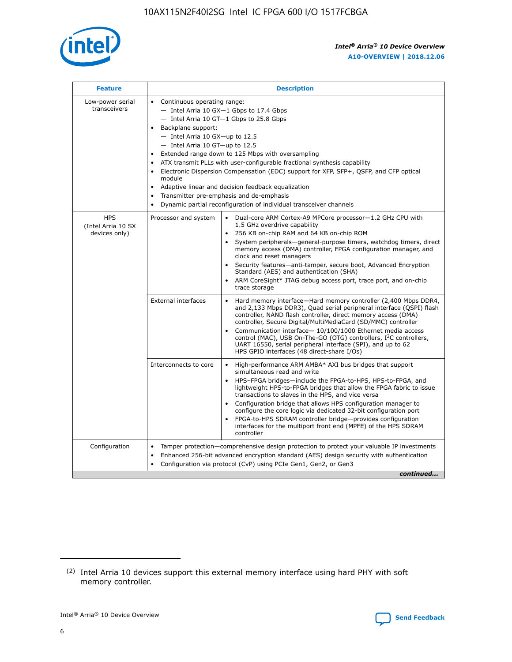

| <b>Feature</b>                                    | <b>Description</b>                                                                                                                                                                                                                                                                                                                                                                                                                                                                                                                                                                                                                           |  |  |  |  |  |  |  |
|---------------------------------------------------|----------------------------------------------------------------------------------------------------------------------------------------------------------------------------------------------------------------------------------------------------------------------------------------------------------------------------------------------------------------------------------------------------------------------------------------------------------------------------------------------------------------------------------------------------------------------------------------------------------------------------------------------|--|--|--|--|--|--|--|
| Low-power serial<br>transceivers                  | • Continuous operating range:<br>- Intel Arria 10 GX-1 Gbps to 17.4 Gbps<br>- Intel Arria 10 GT-1 Gbps to 25.8 Gbps<br>Backplane support:<br>$-$ Intel Arria 10 GX-up to 12.5<br>$-$ Intel Arria 10 GT-up to 12.5<br>Extended range down to 125 Mbps with oversampling<br>ATX transmit PLLs with user-configurable fractional synthesis capability<br>Electronic Dispersion Compensation (EDC) support for XFP, SFP+, QSFP, and CFP optical<br>module<br>• Adaptive linear and decision feedback equalization<br>Transmitter pre-emphasis and de-emphasis<br>$\bullet$<br>Dynamic partial reconfiguration of individual transceiver channels |  |  |  |  |  |  |  |
| <b>HPS</b><br>(Intel Arria 10 SX<br>devices only) | Dual-core ARM Cortex-A9 MPCore processor-1.2 GHz CPU with<br>Processor and system<br>$\bullet$<br>1.5 GHz overdrive capability<br>256 KB on-chip RAM and 64 KB on-chip ROM<br>System peripherals-general-purpose timers, watchdog timers, direct<br>memory access (DMA) controller, FPGA configuration manager, and<br>clock and reset managers<br>Security features-anti-tamper, secure boot, Advanced Encryption<br>$\bullet$<br>Standard (AES) and authentication (SHA)<br>ARM CoreSight* JTAG debug access port, trace port, and on-chip<br>trace storage                                                                                |  |  |  |  |  |  |  |
|                                                   | <b>External interfaces</b><br>Hard memory interface-Hard memory controller (2,400 Mbps DDR4,<br>$\bullet$<br>and 2,133 Mbps DDR3), Quad serial peripheral interface (QSPI) flash<br>controller, NAND flash controller, direct memory access (DMA)<br>controller, Secure Digital/MultiMediaCard (SD/MMC) controller<br>Communication interface-10/100/1000 Ethernet media access<br>$\bullet$<br>control (MAC), USB On-The-GO (OTG) controllers, I <sup>2</sup> C controllers,<br>UART 16550, serial peripheral interface (SPI), and up to 62<br>HPS GPIO interfaces (48 direct-share I/Os)                                                   |  |  |  |  |  |  |  |
|                                                   | High-performance ARM AMBA* AXI bus bridges that support<br>Interconnects to core<br>$\bullet$<br>simultaneous read and write<br>HPS-FPGA bridges-include the FPGA-to-HPS, HPS-to-FPGA, and<br>$\bullet$<br>lightweight HPS-to-FPGA bridges that allow the FPGA fabric to issue<br>transactions to slaves in the HPS, and vice versa<br>Configuration bridge that allows HPS configuration manager to<br>configure the core logic via dedicated 32-bit configuration port<br>FPGA-to-HPS SDRAM controller bridge-provides configuration<br>interfaces for the multiport front end (MPFE) of the HPS SDRAM<br>controller                       |  |  |  |  |  |  |  |
| Configuration                                     | Tamper protection—comprehensive design protection to protect your valuable IP investments<br>Enhanced 256-bit advanced encryption standard (AES) design security with authentication<br>٠<br>Configuration via protocol (CvP) using PCIe Gen1, Gen2, or Gen3<br>continued                                                                                                                                                                                                                                                                                                                                                                    |  |  |  |  |  |  |  |

<sup>(2)</sup> Intel Arria 10 devices support this external memory interface using hard PHY with soft memory controller.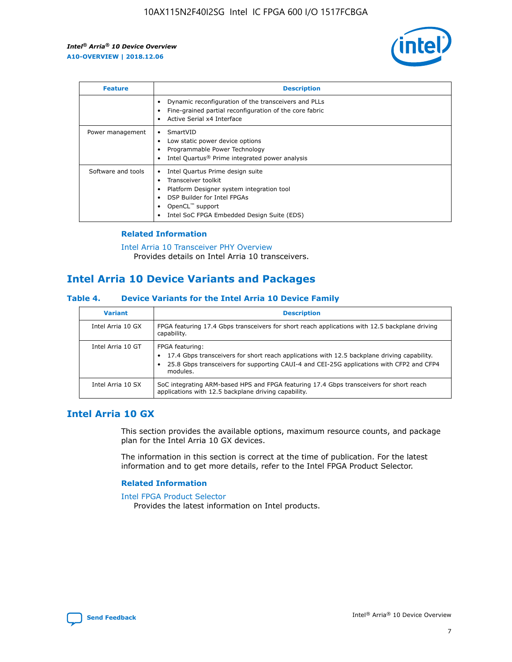

| <b>Feature</b>     | <b>Description</b>                                                                                                                                                                                               |
|--------------------|------------------------------------------------------------------------------------------------------------------------------------------------------------------------------------------------------------------|
|                    | Dynamic reconfiguration of the transceivers and PLLs<br>Fine-grained partial reconfiguration of the core fabric<br>Active Serial x4 Interface<br>$\bullet$                                                       |
| Power management   | SmartVID<br>$\bullet$<br>Low static power device options<br>Programmable Power Technology<br>Intel Quartus <sup>®</sup> Prime integrated power analysis                                                          |
| Software and tools | Intel Quartus Prime design suite<br>Transceiver toolkit<br>Platform Designer system integration tool<br>DSP Builder for Intel FPGAs<br>OpenCL <sup>"</sup> support<br>Intel SoC FPGA Embedded Design Suite (EDS) |

### **Related Information**

#### [Intel Arria 10 Transceiver PHY Overview](https://www.intel.com/content/www/us/en/programmable/documentation/nik1398707230472.html#nik1398706768037) Provides details on Intel Arria 10 transceivers.

### **Intel Arria 10 Device Variants and Packages**

### **Table 4. Device Variants for the Intel Arria 10 Device Family**

| <b>Variant</b>    | <b>Description</b>                                                                                                                                                                                                     |
|-------------------|------------------------------------------------------------------------------------------------------------------------------------------------------------------------------------------------------------------------|
| Intel Arria 10 GX | FPGA featuring 17.4 Gbps transceivers for short reach applications with 12.5 backplane driving<br>capability.                                                                                                          |
| Intel Arria 10 GT | FPGA featuring:<br>17.4 Gbps transceivers for short reach applications with 12.5 backplane driving capability.<br>25.8 Gbps transceivers for supporting CAUI-4 and CEI-25G applications with CFP2 and CFP4<br>modules. |
| Intel Arria 10 SX | SoC integrating ARM-based HPS and FPGA featuring 17.4 Gbps transceivers for short reach<br>applications with 12.5 backplane driving capability.                                                                        |

### **Intel Arria 10 GX**

This section provides the available options, maximum resource counts, and package plan for the Intel Arria 10 GX devices.

The information in this section is correct at the time of publication. For the latest information and to get more details, refer to the Intel FPGA Product Selector.

### **Related Information**

#### [Intel FPGA Product Selector](http://www.altera.com/products/selector/psg-selector.html) Provides the latest information on Intel products.

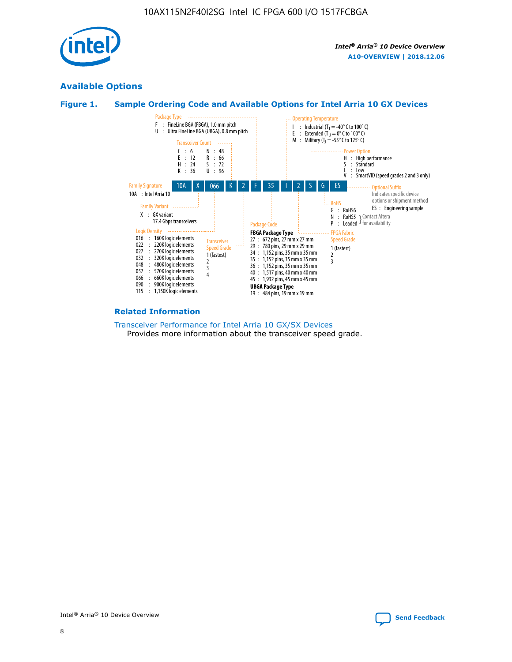

### **Available Options**





#### **Related Information**

[Transceiver Performance for Intel Arria 10 GX/SX Devices](https://www.intel.com/content/www/us/en/programmable/documentation/mcn1413182292568.html#mcn1413213965502) Provides more information about the transceiver speed grade.

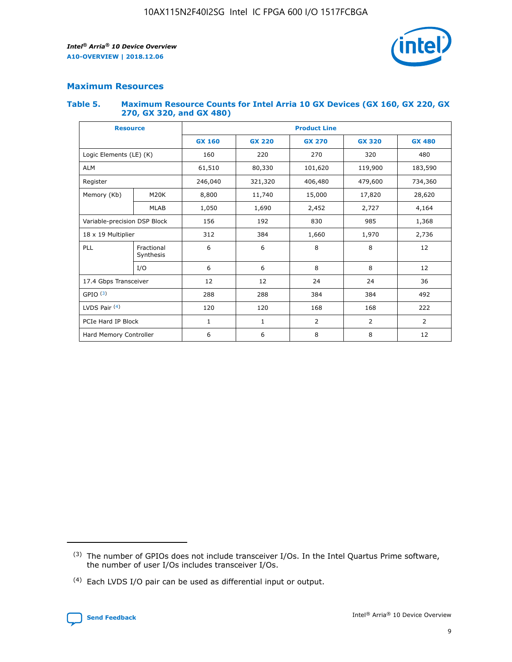

### **Maximum Resources**

#### **Table 5. Maximum Resource Counts for Intel Arria 10 GX Devices (GX 160, GX 220, GX 270, GX 320, and GX 480)**

| <b>Resource</b>              |                         | <b>Product Line</b> |                                |                |                |                |  |  |  |
|------------------------------|-------------------------|---------------------|--------------------------------|----------------|----------------|----------------|--|--|--|
|                              |                         | <b>GX 160</b>       | <b>GX 220</b><br><b>GX 270</b> |                | <b>GX 320</b>  | <b>GX 480</b>  |  |  |  |
| Logic Elements (LE) (K)      |                         | 160                 | 220                            | 270            | 320            | 480            |  |  |  |
| <b>ALM</b>                   |                         | 61,510              | 80,330                         | 101,620        | 119,900        | 183,590        |  |  |  |
| Register                     |                         | 246,040             | 406,480<br>321,320             |                | 479,600        | 734,360        |  |  |  |
| Memory (Kb)                  | M <sub>20</sub> K       | 8,800               | 11,740                         |                | 17,820         | 28,620         |  |  |  |
|                              | <b>MLAB</b>             | 1,050               | 1,690<br>2,452                 |                | 2,727          | 4,164          |  |  |  |
| Variable-precision DSP Block |                         | 156                 | 192                            | 830            | 985            | 1,368          |  |  |  |
| 18 x 19 Multiplier           |                         | 312                 | 384                            | 1,970<br>1,660 |                | 2,736          |  |  |  |
| PLL                          | Fractional<br>Synthesis | 6                   | 6                              | 8              | 8              | 12             |  |  |  |
|                              | I/O                     | 6                   | 6                              | 8              | 8              | 12             |  |  |  |
| 17.4 Gbps Transceiver        |                         | 12                  | 12                             | 24             | 24             | 36             |  |  |  |
| GPIO <sup>(3)</sup>          |                         | 288                 | 288                            | 384            | 384            |                |  |  |  |
| LVDS Pair $(4)$              |                         | 120                 | 120                            | 168            | 168            | 222            |  |  |  |
| PCIe Hard IP Block           |                         | 1                   | 1                              | 2              | $\overline{2}$ | $\overline{2}$ |  |  |  |
| Hard Memory Controller       |                         | 6                   | 6                              | 8<br>8         |                | 12             |  |  |  |

<sup>(4)</sup> Each LVDS I/O pair can be used as differential input or output.



<sup>(3)</sup> The number of GPIOs does not include transceiver I/Os. In the Intel Quartus Prime software, the number of user I/Os includes transceiver I/Os.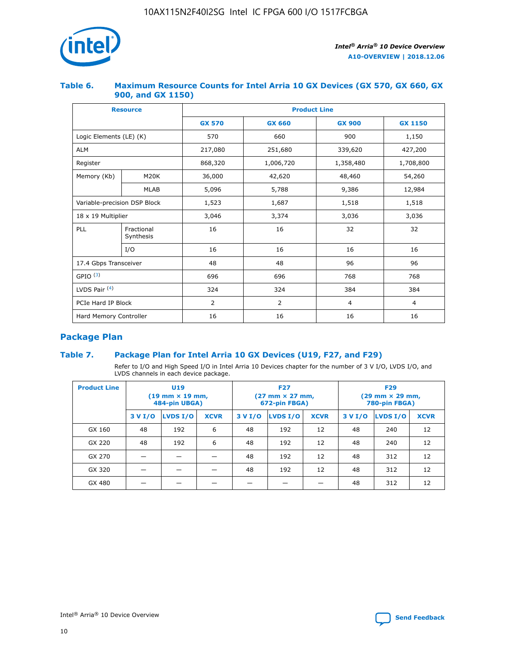

### **Table 6. Maximum Resource Counts for Intel Arria 10 GX Devices (GX 570, GX 660, GX 900, and GX 1150)**

|                              | <b>Resource</b>         | <b>Product Line</b> |               |                |                |  |  |  |
|------------------------------|-------------------------|---------------------|---------------|----------------|----------------|--|--|--|
|                              |                         | <b>GX 570</b>       | <b>GX 660</b> | <b>GX 900</b>  | <b>GX 1150</b> |  |  |  |
| Logic Elements (LE) (K)      |                         | 570                 | 660           | 900            | 1,150          |  |  |  |
| <b>ALM</b>                   |                         | 217,080             | 251,680       | 339,620        | 427,200        |  |  |  |
| Register                     |                         | 868,320             | 1,006,720     |                | 1,708,800      |  |  |  |
| Memory (Kb)                  | <b>M20K</b>             | 36,000              | 42,620        | 48,460         | 54,260         |  |  |  |
|                              | <b>MLAB</b>             | 5,096               | 5,788         | 9,386          | 12,984         |  |  |  |
| Variable-precision DSP Block |                         | 1,523               | 1,687         | 1,518          | 1,518          |  |  |  |
| 18 x 19 Multiplier           |                         | 3,046               | 3,374         | 3,036          | 3,036          |  |  |  |
| PLL                          | Fractional<br>Synthesis | 16                  | 16            | 32             | 32             |  |  |  |
|                              | I/O                     | 16                  | 16            | 16             | 16             |  |  |  |
| 17.4 Gbps Transceiver        |                         | 48                  | 48<br>96      |                | 96             |  |  |  |
| GPIO <sup>(3)</sup>          |                         | 696                 | 696           | 768            | 768            |  |  |  |
| LVDS Pair $(4)$              |                         | 324                 | 324           | 384            | 384            |  |  |  |
| PCIe Hard IP Block           |                         | 2                   | 2             | $\overline{4}$ | 4              |  |  |  |
| Hard Memory Controller       |                         | 16                  | 16            | 16             | 16             |  |  |  |

### **Package Plan**

### **Table 7. Package Plan for Intel Arria 10 GX Devices (U19, F27, and F29)**

Refer to I/O and High Speed I/O in Intel Arria 10 Devices chapter for the number of 3 V I/O, LVDS I/O, and LVDS channels in each device package.

| <b>Product Line</b> | U <sub>19</sub><br>$(19 \text{ mm} \times 19 \text{ mm})$<br>484-pin UBGA) |          |             |         | <b>F27</b><br>(27 mm × 27 mm,<br>672-pin FBGA) |             | <b>F29</b><br>$(29 \text{ mm} \times 29 \text{ mm})$<br>780-pin FBGA) |          |             |  |
|---------------------|----------------------------------------------------------------------------|----------|-------------|---------|------------------------------------------------|-------------|-----------------------------------------------------------------------|----------|-------------|--|
|                     | 3 V I/O                                                                    | LVDS I/O | <b>XCVR</b> | 3 V I/O | LVDS I/O                                       | <b>XCVR</b> | 3 V I/O                                                               | LVDS I/O | <b>XCVR</b> |  |
| GX 160              | 48                                                                         | 192      | 6           | 48      | 192                                            | 12          | 48                                                                    | 240      | 12          |  |
| GX 220              | 48                                                                         | 192      | 6           | 48      | 192                                            | 12          | 48                                                                    | 240      | 12          |  |
| GX 270              |                                                                            |          |             | 48      | 192                                            | 12          | 48                                                                    | 312      | 12          |  |
| GX 320              |                                                                            |          |             | 48      | 192                                            | 12          | 48                                                                    | 312      | 12          |  |
| GX 480              |                                                                            |          |             |         |                                                |             | 48                                                                    | 312      | 12          |  |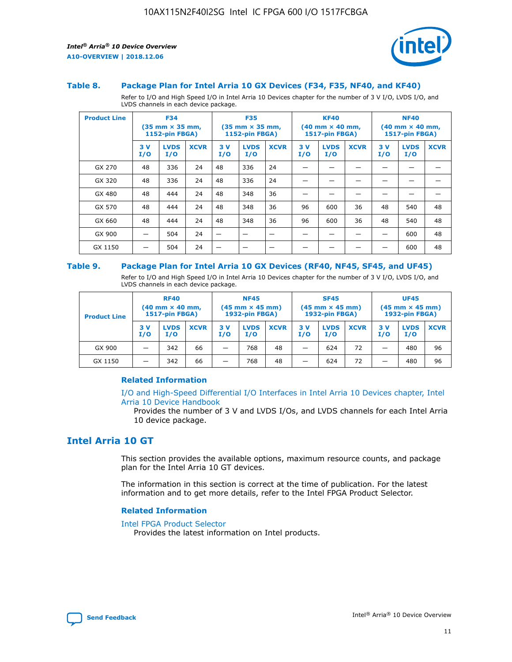

#### **Table 8. Package Plan for Intel Arria 10 GX Devices (F34, F35, NF40, and KF40)**

Refer to I/O and High Speed I/O in Intel Arria 10 Devices chapter for the number of 3 V I/O, LVDS I/O, and LVDS channels in each device package.

| <b>Product Line</b> | <b>F34</b><br>$(35 \text{ mm} \times 35 \text{ mm})$<br>1152-pin FBGA) |                    | <b>F35</b><br>$(35 \text{ mm} \times 35 \text{ mm})$<br><b>1152-pin FBGA)</b> |           | <b>KF40</b><br>$(40$ mm $\times$ 40 mm,<br>1517-pin FBGA) |             |           | <b>NF40</b><br>$(40$ mm $\times$ 40 mm,<br><b>1517-pin FBGA)</b> |             |            |                    |             |
|---------------------|------------------------------------------------------------------------|--------------------|-------------------------------------------------------------------------------|-----------|-----------------------------------------------------------|-------------|-----------|------------------------------------------------------------------|-------------|------------|--------------------|-------------|
|                     | 3V<br>I/O                                                              | <b>LVDS</b><br>I/O | <b>XCVR</b>                                                                   | 3V<br>I/O | <b>LVDS</b><br>I/O                                        | <b>XCVR</b> | 3V<br>I/O | <b>LVDS</b><br>I/O                                               | <b>XCVR</b> | 3 V<br>I/O | <b>LVDS</b><br>I/O | <b>XCVR</b> |
| GX 270              | 48                                                                     | 336                | 24                                                                            | 48        | 336                                                       | 24          |           |                                                                  |             |            |                    |             |
| GX 320              | 48                                                                     | 336                | 24                                                                            | 48        | 336                                                       | 24          |           |                                                                  |             |            |                    |             |
| GX 480              | 48                                                                     | 444                | 24                                                                            | 48        | 348                                                       | 36          |           |                                                                  |             |            |                    |             |
| GX 570              | 48                                                                     | 444                | 24                                                                            | 48        | 348                                                       | 36          | 96        | 600                                                              | 36          | 48         | 540                | 48          |
| GX 660              | 48                                                                     | 444                | 24                                                                            | 48        | 348                                                       | 36          | 96        | 600                                                              | 36          | 48         | 540                | 48          |
| GX 900              |                                                                        | 504                | 24                                                                            | -         |                                                           |             |           |                                                                  |             |            | 600                | 48          |
| GX 1150             |                                                                        | 504                | 24                                                                            |           |                                                           |             |           |                                                                  |             |            | 600                | 48          |

#### **Table 9. Package Plan for Intel Arria 10 GX Devices (RF40, NF45, SF45, and UF45)**

Refer to I/O and High Speed I/O in Intel Arria 10 Devices chapter for the number of 3 V I/O, LVDS I/O, and LVDS channels in each device package.

| <b>Product Line</b> | <b>RF40</b><br>$(40$ mm $\times$ 40 mm,<br>1517-pin FBGA) |                    |             | <b>NF45</b><br>$(45 \text{ mm} \times 45 \text{ mm})$<br><b>1932-pin FBGA)</b> |                    |             | <b>SF45</b><br>$(45 \text{ mm} \times 45 \text{ mm})$<br><b>1932-pin FBGA)</b> |                    |             | <b>UF45</b><br>$(45 \text{ mm} \times 45 \text{ mm})$<br><b>1932-pin FBGA)</b> |                    |             |
|---------------------|-----------------------------------------------------------|--------------------|-------------|--------------------------------------------------------------------------------|--------------------|-------------|--------------------------------------------------------------------------------|--------------------|-------------|--------------------------------------------------------------------------------|--------------------|-------------|
|                     | 3V<br>I/O                                                 | <b>LVDS</b><br>I/O | <b>XCVR</b> | 3 V<br>I/O                                                                     | <b>LVDS</b><br>I/O | <b>XCVR</b> | 3 V<br>I/O                                                                     | <b>LVDS</b><br>I/O | <b>XCVR</b> | 3V<br>I/O                                                                      | <b>LVDS</b><br>I/O | <b>XCVR</b> |
| GX 900              |                                                           | 342                | 66          | _                                                                              | 768                | 48          |                                                                                | 624                | 72          |                                                                                | 480                | 96          |
| GX 1150             |                                                           | 342                | 66          | _                                                                              | 768                | 48          |                                                                                | 624                | 72          |                                                                                | 480                | 96          |

### **Related Information**

[I/O and High-Speed Differential I/O Interfaces in Intel Arria 10 Devices chapter, Intel](https://www.intel.com/content/www/us/en/programmable/documentation/sam1403482614086.html#sam1403482030321) [Arria 10 Device Handbook](https://www.intel.com/content/www/us/en/programmable/documentation/sam1403482614086.html#sam1403482030321)

Provides the number of 3 V and LVDS I/Os, and LVDS channels for each Intel Arria 10 device package.

### **Intel Arria 10 GT**

This section provides the available options, maximum resource counts, and package plan for the Intel Arria 10 GT devices.

The information in this section is correct at the time of publication. For the latest information and to get more details, refer to the Intel FPGA Product Selector.

#### **Related Information**

#### [Intel FPGA Product Selector](http://www.altera.com/products/selector/psg-selector.html)

Provides the latest information on Intel products.

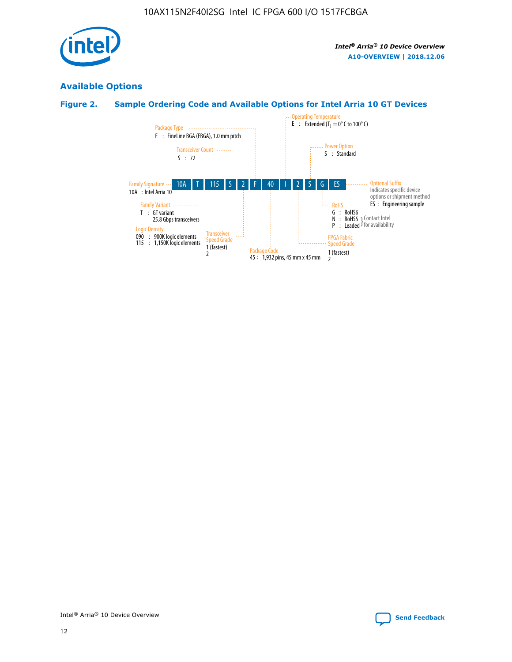

### **Available Options**

### **Figure 2. Sample Ordering Code and Available Options for Intel Arria 10 GT Devices**

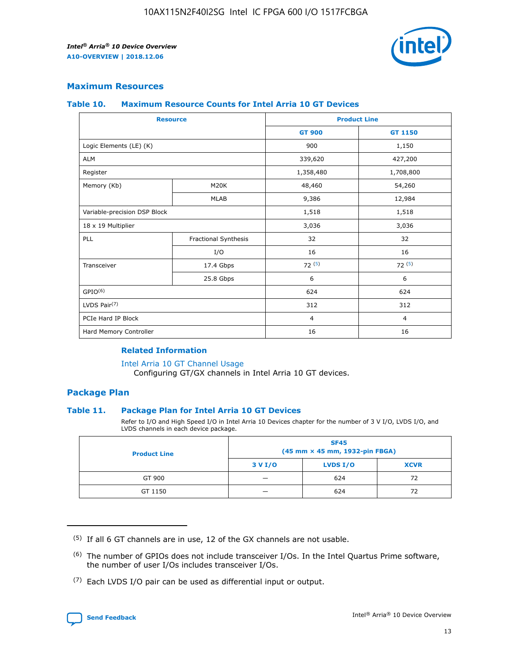

### **Maximum Resources**

#### **Table 10. Maximum Resource Counts for Intel Arria 10 GT Devices**

| <b>Resource</b>              |                      | <b>Product Line</b> |                |  |
|------------------------------|----------------------|---------------------|----------------|--|
|                              |                      | <b>GT 900</b>       | <b>GT 1150</b> |  |
| Logic Elements (LE) (K)      |                      | 900                 | 1,150          |  |
| <b>ALM</b>                   |                      | 339,620             | 427,200        |  |
| Register                     |                      | 1,358,480           | 1,708,800      |  |
| Memory (Kb)                  | M20K                 | 48,460              | 54,260         |  |
|                              | <b>MLAB</b>          | 9,386               | 12,984         |  |
| Variable-precision DSP Block |                      | 1,518               | 1,518          |  |
| 18 x 19 Multiplier           |                      | 3,036               | 3,036          |  |
| PLL                          | Fractional Synthesis | 32                  | 32             |  |
|                              | I/O                  | 16                  | 16             |  |
| Transceiver                  | 17.4 Gbps            | 72(5)               | 72(5)          |  |
|                              | 25.8 Gbps            | 6                   | 6              |  |
| GPIO <sup>(6)</sup>          |                      | 624                 | 624            |  |
| LVDS Pair $(7)$              |                      | 312                 | 312            |  |
| PCIe Hard IP Block           |                      | $\overline{4}$      | $\overline{4}$ |  |
| Hard Memory Controller       |                      | 16                  | 16             |  |

#### **Related Information**

#### [Intel Arria 10 GT Channel Usage](https://www.intel.com/content/www/us/en/programmable/documentation/nik1398707230472.html#nik1398707008178)

Configuring GT/GX channels in Intel Arria 10 GT devices.

### **Package Plan**

### **Table 11. Package Plan for Intel Arria 10 GT Devices**

Refer to I/O and High Speed I/O in Intel Arria 10 Devices chapter for the number of 3 V I/O, LVDS I/O, and LVDS channels in each device package.

| <b>Product Line</b> | <b>SF45</b><br>(45 mm × 45 mm, 1932-pin FBGA) |                 |             |  |  |  |
|---------------------|-----------------------------------------------|-----------------|-------------|--|--|--|
|                     | 3 V I/O                                       | <b>LVDS I/O</b> | <b>XCVR</b> |  |  |  |
| GT 900              |                                               | 624             | 72          |  |  |  |
| GT 1150             |                                               | 624             |             |  |  |  |

<sup>(7)</sup> Each LVDS I/O pair can be used as differential input or output.



 $(5)$  If all 6 GT channels are in use, 12 of the GX channels are not usable.

<sup>(6)</sup> The number of GPIOs does not include transceiver I/Os. In the Intel Quartus Prime software, the number of user I/Os includes transceiver I/Os.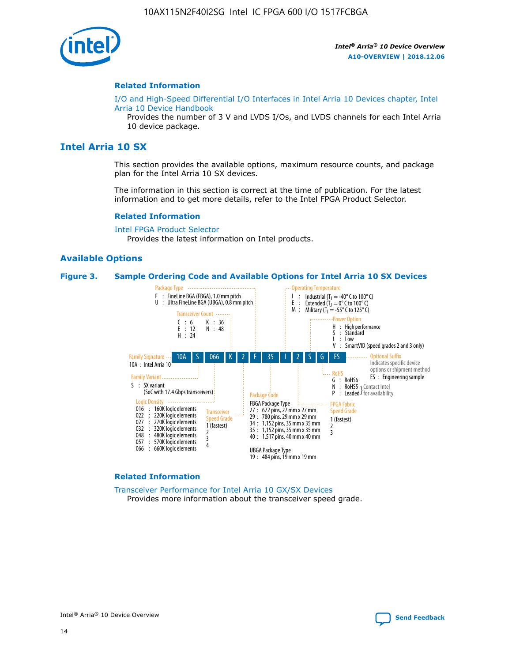

#### **Related Information**

[I/O and High-Speed Differential I/O Interfaces in Intel Arria 10 Devices chapter, Intel](https://www.intel.com/content/www/us/en/programmable/documentation/sam1403482614086.html#sam1403482030321) [Arria 10 Device Handbook](https://www.intel.com/content/www/us/en/programmable/documentation/sam1403482614086.html#sam1403482030321)

Provides the number of 3 V and LVDS I/Os, and LVDS channels for each Intel Arria 10 device package.

### **Intel Arria 10 SX**

This section provides the available options, maximum resource counts, and package plan for the Intel Arria 10 SX devices.

The information in this section is correct at the time of publication. For the latest information and to get more details, refer to the Intel FPGA Product Selector.

#### **Related Information**

[Intel FPGA Product Selector](http://www.altera.com/products/selector/psg-selector.html) Provides the latest information on Intel products.

### **Available Options**

#### **Figure 3. Sample Ordering Code and Available Options for Intel Arria 10 SX Devices**



#### **Related Information**

[Transceiver Performance for Intel Arria 10 GX/SX Devices](https://www.intel.com/content/www/us/en/programmable/documentation/mcn1413182292568.html#mcn1413213965502) Provides more information about the transceiver speed grade.

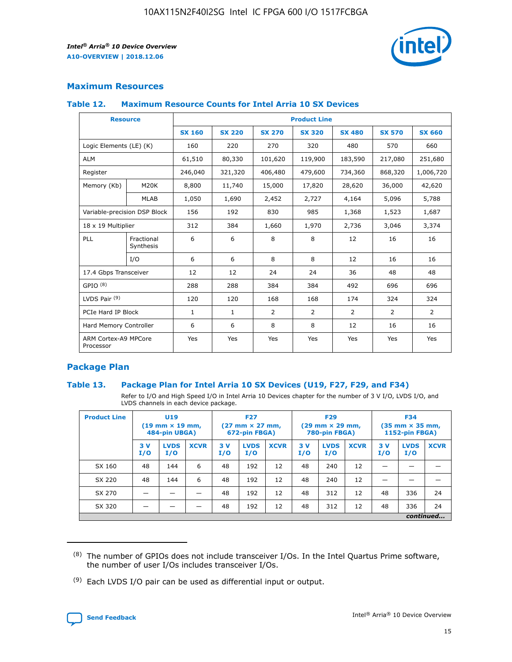

### **Maximum Resources**

### **Table 12. Maximum Resource Counts for Intel Arria 10 SX Devices**

| <b>Resource</b>                   |                         | <b>Product Line</b> |               |                |                |                |                |                |  |  |  |
|-----------------------------------|-------------------------|---------------------|---------------|----------------|----------------|----------------|----------------|----------------|--|--|--|
|                                   |                         | <b>SX 160</b>       | <b>SX 220</b> | <b>SX 270</b>  | <b>SX 320</b>  | <b>SX 480</b>  | <b>SX 570</b>  | <b>SX 660</b>  |  |  |  |
| Logic Elements (LE) (K)           |                         | 160                 | 220           | 270            | 320            | 480            | 570            | 660            |  |  |  |
| <b>ALM</b>                        |                         | 61,510              | 80,330        | 101,620        | 119,900        | 183,590        | 217,080        | 251,680        |  |  |  |
| Register                          |                         | 246,040             | 321,320       | 406,480        | 479,600        | 734,360        | 868,320        | 1,006,720      |  |  |  |
| Memory (Kb)                       | M <sub>20</sub> K       | 8,800               | 11,740        | 15,000         | 17,820         | 28,620         | 36,000         | 42,620         |  |  |  |
|                                   | <b>MLAB</b>             | 1,050               | 1,690         | 2,452          | 2,727          | 4,164          | 5,096          | 5,788          |  |  |  |
| Variable-precision DSP Block      |                         | 156                 | 192           | 830            | 985            | 1,368          | 1,523          | 1,687          |  |  |  |
| 18 x 19 Multiplier                |                         | 312                 | 384           | 1,660          | 1,970          | 2,736          | 3,046          | 3,374          |  |  |  |
| PLL                               | Fractional<br>Synthesis | 6                   | 6             | 8              | 8              | 12             | 16             | 16             |  |  |  |
|                                   | I/O                     | 6                   | 6             | 8              | 8              | 12             | 16             | 16             |  |  |  |
| 17.4 Gbps Transceiver             |                         | 12                  | 12            | 24             | 24             | 36             | 48             | 48             |  |  |  |
| GPIO <sup>(8)</sup>               |                         | 288                 | 288           | 384            | 384            | 492            | 696            | 696            |  |  |  |
| LVDS Pair $(9)$                   |                         | 120                 | 120           | 168            | 168            | 174            | 324            | 324            |  |  |  |
| PCIe Hard IP Block                |                         | $\mathbf{1}$        | $\mathbf{1}$  | $\overline{2}$ | $\overline{2}$ | $\overline{2}$ | $\overline{2}$ | $\overline{2}$ |  |  |  |
| Hard Memory Controller            |                         | 6                   | 6             | 8              | 8              | 12             | 16             | 16             |  |  |  |
| ARM Cortex-A9 MPCore<br>Processor |                         | Yes                 | Yes           | Yes            | Yes            | Yes            | Yes            | <b>Yes</b>     |  |  |  |

### **Package Plan**

### **Table 13. Package Plan for Intel Arria 10 SX Devices (U19, F27, F29, and F34)**

Refer to I/O and High Speed I/O in Intel Arria 10 Devices chapter for the number of 3 V I/O, LVDS I/O, and LVDS channels in each device package.

| <b>Product Line</b> | <b>U19</b><br>$(19 \text{ mm} \times 19 \text{ mm})$<br>484-pin UBGA) |                    | <b>F27</b><br>$(27 \text{ mm} \times 27 \text{ mm})$<br>672-pin FBGA) |           | <b>F29</b><br>$(29$ mm $\times$ 29 mm,<br>780-pin FBGA) |             |            | <b>F34</b><br>$(35 \text{ mm} \times 35 \text{ mm})$<br>1152-pin FBGA) |             |           |                    |             |
|---------------------|-----------------------------------------------------------------------|--------------------|-----------------------------------------------------------------------|-----------|---------------------------------------------------------|-------------|------------|------------------------------------------------------------------------|-------------|-----------|--------------------|-------------|
|                     | 3V<br>I/O                                                             | <b>LVDS</b><br>I/O | <b>XCVR</b>                                                           | 3V<br>I/O | <b>LVDS</b><br>I/O                                      | <b>XCVR</b> | 3 V<br>I/O | <b>LVDS</b><br>I/O                                                     | <b>XCVR</b> | 3V<br>I/O | <b>LVDS</b><br>I/O | <b>XCVR</b> |
| SX 160              | 48                                                                    | 144                | 6                                                                     | 48        | 192                                                     | 12          | 48         | 240                                                                    | 12          | –         |                    |             |
| SX 220              | 48                                                                    | 144                | 6                                                                     | 48        | 192                                                     | 12          | 48         | 240                                                                    | 12          |           |                    |             |
| SX 270              |                                                                       |                    |                                                                       | 48        | 192                                                     | 12          | 48         | 312                                                                    | 12          | 48        | 336                | 24          |
| SX 320              |                                                                       |                    |                                                                       | 48        | 192                                                     | 12          | 48         | 312                                                                    | 12          | 48        | 336                | 24          |
|                     | continued                                                             |                    |                                                                       |           |                                                         |             |            |                                                                        |             |           |                    |             |

 $(8)$  The number of GPIOs does not include transceiver I/Os. In the Intel Quartus Prime software, the number of user I/Os includes transceiver I/Os.

 $(9)$  Each LVDS I/O pair can be used as differential input or output.

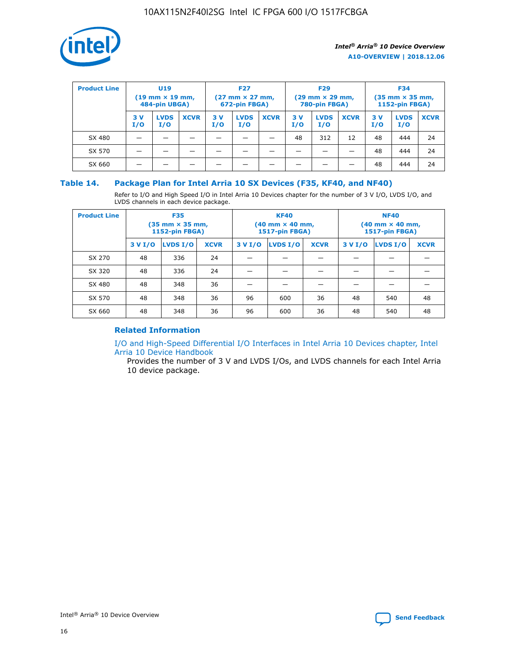

| <b>Product Line</b> | U <sub>19</sub><br>$(19 \text{ mm} \times 19 \text{ mm})$<br>484-pin UBGA) |                    | <b>F27</b><br>$(27 \text{ mm} \times 27 \text{ mm})$<br>672-pin FBGA) |           | <b>F29</b><br>$(29$ mm $\times$ 29 mm,<br>780-pin FBGA) |             |           | <b>F34</b><br>$(35$ mm $\times$ 35 mm,<br><b>1152-pin FBGA)</b> |             |            |                    |             |
|---------------------|----------------------------------------------------------------------------|--------------------|-----------------------------------------------------------------------|-----------|---------------------------------------------------------|-------------|-----------|-----------------------------------------------------------------|-------------|------------|--------------------|-------------|
|                     | 3 V<br>I/O                                                                 | <b>LVDS</b><br>I/O | <b>XCVR</b>                                                           | 3V<br>I/O | <b>LVDS</b><br>I/O                                      | <b>XCVR</b> | 3V<br>I/O | <b>LVDS</b><br>I/O                                              | <b>XCVR</b> | 3 V<br>I/O | <b>LVDS</b><br>I/O | <b>XCVR</b> |
| SX 480              |                                                                            |                    |                                                                       |           |                                                         |             | 48        | 312                                                             | 12          | 48         | 444                | 24          |
| SX 570              |                                                                            |                    |                                                                       |           |                                                         |             |           |                                                                 |             | 48         | 444                | 24          |
| SX 660              |                                                                            |                    |                                                                       |           |                                                         |             |           |                                                                 |             | 48         | 444                | 24          |

### **Table 14. Package Plan for Intel Arria 10 SX Devices (F35, KF40, and NF40)**

Refer to I/O and High Speed I/O in Intel Arria 10 Devices chapter for the number of 3 V I/O, LVDS I/O, and LVDS channels in each device package.

| <b>Product Line</b> | <b>F35</b><br>$(35 \text{ mm} \times 35 \text{ mm})$<br><b>1152-pin FBGA)</b> |          |             |                                           | <b>KF40</b><br>(40 mm × 40 mm,<br>1517-pin FBGA) |    | <b>NF40</b><br>$(40 \text{ mm} \times 40 \text{ mm})$<br>1517-pin FBGA) |          |             |  |
|---------------------|-------------------------------------------------------------------------------|----------|-------------|-------------------------------------------|--------------------------------------------------|----|-------------------------------------------------------------------------|----------|-------------|--|
|                     | 3 V I/O                                                                       | LVDS I/O | <b>XCVR</b> | <b>LVDS I/O</b><br><b>XCVR</b><br>3 V I/O |                                                  |    | 3 V I/O                                                                 | LVDS I/O | <b>XCVR</b> |  |
| SX 270              | 48                                                                            | 336      | 24          |                                           |                                                  |    |                                                                         |          |             |  |
| SX 320              | 48                                                                            | 336      | 24          |                                           |                                                  |    |                                                                         |          |             |  |
| SX 480              | 48                                                                            | 348      | 36          |                                           |                                                  |    |                                                                         |          |             |  |
| SX 570              | 48                                                                            | 348      | 36          | 96<br>36<br>600                           |                                                  | 48 | 540                                                                     | 48       |             |  |
| SX 660              | 48                                                                            | 348      | 36          | 96                                        | 600                                              | 36 | 48                                                                      | 540      | 48          |  |

### **Related Information**

[I/O and High-Speed Differential I/O Interfaces in Intel Arria 10 Devices chapter, Intel](https://www.intel.com/content/www/us/en/programmable/documentation/sam1403482614086.html#sam1403482030321) [Arria 10 Device Handbook](https://www.intel.com/content/www/us/en/programmable/documentation/sam1403482614086.html#sam1403482030321)

Provides the number of 3 V and LVDS I/Os, and LVDS channels for each Intel Arria 10 device package.

Intel<sup>®</sup> Arria<sup>®</sup> 10 Device Overview **[Send Feedback](mailto:FPGAtechdocfeedback@intel.com?subject=Feedback%20on%20Intel%20Arria%2010%20Device%20Overview%20(A10-OVERVIEW%202018.12.06)&body=We%20appreciate%20your%20feedback.%20In%20your%20comments,%20also%20specify%20the%20page%20number%20or%20paragraph.%20Thank%20you.)** Send Feedback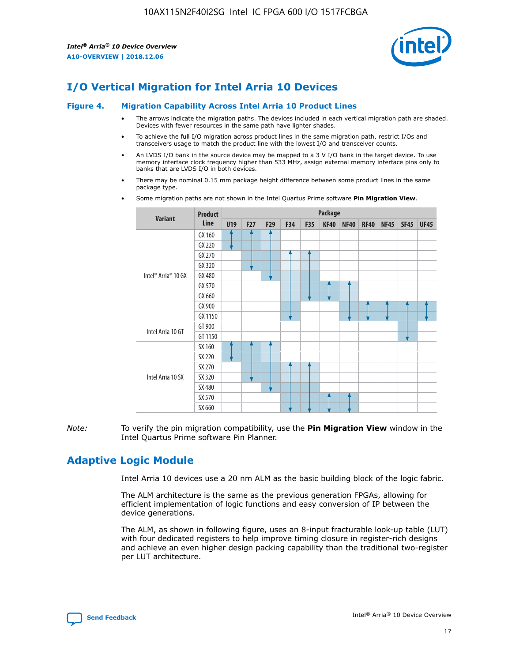

### **I/O Vertical Migration for Intel Arria 10 Devices**

#### **Figure 4. Migration Capability Across Intel Arria 10 Product Lines**

- The arrows indicate the migration paths. The devices included in each vertical migration path are shaded. Devices with fewer resources in the same path have lighter shades.
- To achieve the full I/O migration across product lines in the same migration path, restrict I/Os and transceivers usage to match the product line with the lowest I/O and transceiver counts.
- An LVDS I/O bank in the source device may be mapped to a 3 V I/O bank in the target device. To use memory interface clock frequency higher than 533 MHz, assign external memory interface pins only to banks that are LVDS I/O in both devices.
- There may be nominal 0.15 mm package height difference between some product lines in the same package type.
	- **Variant Product Line Package U19 F27 F29 F34 F35 KF40 NF40 RF40 NF45 SF45 UF45** Intel® Arria® 10 GX GX 160 GX 220 GX 270 GX 320 GX 480 GX 570 GX 660 GX 900 GX 1150 Intel Arria 10 GT GT 900 GT 1150 Intel Arria 10 SX SX 160 SX 220 SX 270 SX 320 SX 480 SX 570 SX 660
- Some migration paths are not shown in the Intel Quartus Prime software **Pin Migration View**.

*Note:* To verify the pin migration compatibility, use the **Pin Migration View** window in the Intel Quartus Prime software Pin Planner.

### **Adaptive Logic Module**

Intel Arria 10 devices use a 20 nm ALM as the basic building block of the logic fabric.

The ALM architecture is the same as the previous generation FPGAs, allowing for efficient implementation of logic functions and easy conversion of IP between the device generations.

The ALM, as shown in following figure, uses an 8-input fracturable look-up table (LUT) with four dedicated registers to help improve timing closure in register-rich designs and achieve an even higher design packing capability than the traditional two-register per LUT architecture.

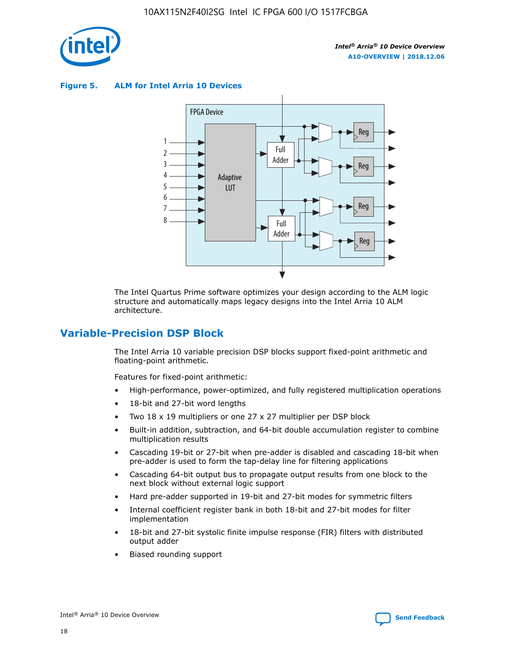

**Figure 5. ALM for Intel Arria 10 Devices**



The Intel Quartus Prime software optimizes your design according to the ALM logic structure and automatically maps legacy designs into the Intel Arria 10 ALM architecture.

### **Variable-Precision DSP Block**

The Intel Arria 10 variable precision DSP blocks support fixed-point arithmetic and floating-point arithmetic.

Features for fixed-point arithmetic:

- High-performance, power-optimized, and fully registered multiplication operations
- 18-bit and 27-bit word lengths
- Two 18 x 19 multipliers or one 27 x 27 multiplier per DSP block
- Built-in addition, subtraction, and 64-bit double accumulation register to combine multiplication results
- Cascading 19-bit or 27-bit when pre-adder is disabled and cascading 18-bit when pre-adder is used to form the tap-delay line for filtering applications
- Cascading 64-bit output bus to propagate output results from one block to the next block without external logic support
- Hard pre-adder supported in 19-bit and 27-bit modes for symmetric filters
- Internal coefficient register bank in both 18-bit and 27-bit modes for filter implementation
- 18-bit and 27-bit systolic finite impulse response (FIR) filters with distributed output adder
- Biased rounding support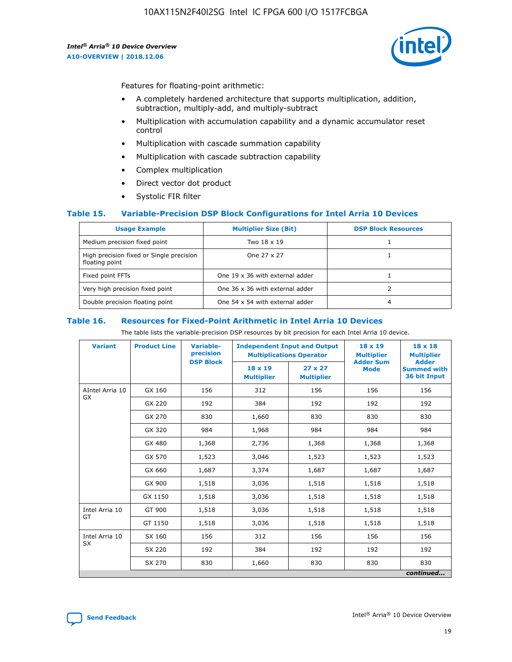![](_page_19_Picture_2.jpeg)

Features for floating-point arithmetic:

- A completely hardened architecture that supports multiplication, addition, subtraction, multiply-add, and multiply-subtract
- Multiplication with accumulation capability and a dynamic accumulator reset control
- Multiplication with cascade summation capability
- Multiplication with cascade subtraction capability
- Complex multiplication
- Direct vector dot product
- Systolic FIR filter

### **Table 15. Variable-Precision DSP Block Configurations for Intel Arria 10 Devices**

| <b>Usage Example</b>                                       | <b>Multiplier Size (Bit)</b>    | <b>DSP Block Resources</b> |
|------------------------------------------------------------|---------------------------------|----------------------------|
| Medium precision fixed point                               | Two 18 x 19                     |                            |
| High precision fixed or Single precision<br>floating point | One 27 x 27                     |                            |
| Fixed point FFTs                                           | One 19 x 36 with external adder |                            |
| Very high precision fixed point                            | One 36 x 36 with external adder |                            |
| Double precision floating point                            | One 54 x 54 with external adder | 4                          |

#### **Table 16. Resources for Fixed-Point Arithmetic in Intel Arria 10 Devices**

The table lists the variable-precision DSP resources by bit precision for each Intel Arria 10 device.

| <b>Variant</b>  | <b>Product Line</b> | Variable-<br>precision<br><b>DSP Block</b> | <b>Independent Input and Output</b><br><b>Multiplications Operator</b> |                                     | 18 x 19<br><b>Multiplier</b><br><b>Adder Sum</b> | $18 \times 18$<br><b>Multiplier</b><br><b>Adder</b> |
|-----------------|---------------------|--------------------------------------------|------------------------------------------------------------------------|-------------------------------------|--------------------------------------------------|-----------------------------------------------------|
|                 |                     |                                            | 18 x 19<br><b>Multiplier</b>                                           | $27 \times 27$<br><b>Multiplier</b> | <b>Mode</b>                                      | <b>Summed with</b><br>36 bit Input                  |
| AIntel Arria 10 | GX 160              | 156                                        | 312                                                                    | 156                                 | 156                                              | 156                                                 |
| GX              | GX 220              | 192                                        | 384                                                                    | 192                                 | 192                                              | 192                                                 |
|                 | GX 270              | 830                                        | 1,660                                                                  | 830                                 | 830                                              | 830                                                 |
|                 | GX 320              | 984                                        | 1,968                                                                  | 984                                 | 984                                              | 984                                                 |
|                 | GX 480              | 1,368                                      | 2,736                                                                  | 1,368                               | 1,368                                            | 1,368                                               |
|                 | GX 570              | 1,523                                      | 3,046                                                                  | 1,523                               | 1,523                                            | 1,523                                               |
|                 | GX 660              | 1,687                                      | 3,374                                                                  | 1,687                               | 1,687                                            | 1,687                                               |
|                 | GX 900              | 1,518                                      | 3,036                                                                  | 1,518                               | 1,518                                            | 1,518                                               |
|                 | GX 1150             | 1,518                                      | 3,036                                                                  | 1,518                               | 1,518                                            | 1,518                                               |
| Intel Arria 10  | GT 900              | 1,518                                      | 3,036                                                                  | 1,518                               | 1,518                                            | 1,518                                               |
| GT              | GT 1150             | 1,518                                      | 3,036                                                                  | 1,518                               | 1,518                                            | 1,518                                               |
| Intel Arria 10  | SX 160              | 156                                        | 312                                                                    | 156                                 | 156                                              | 156                                                 |
| <b>SX</b>       | SX 220              | 192                                        | 384                                                                    | 192                                 | 192                                              | 192                                                 |
|                 | SX 270              | 830                                        | 1,660                                                                  | 830                                 | 830                                              | 830                                                 |
|                 |                     |                                            |                                                                        |                                     |                                                  | continued                                           |

![](_page_19_Picture_16.jpeg)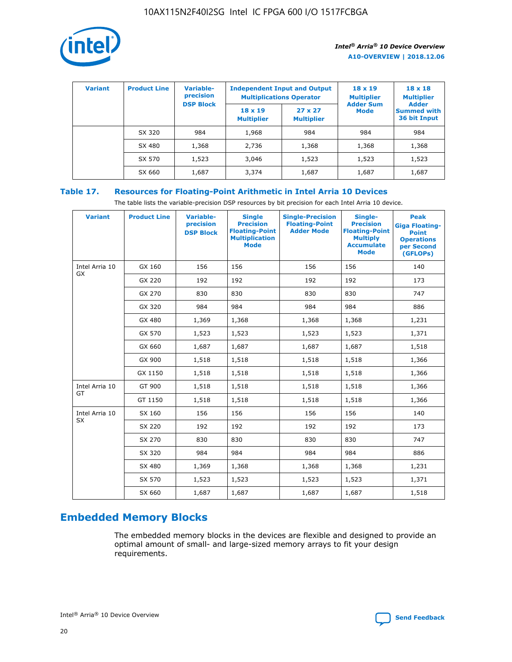![](_page_20_Picture_1.jpeg)

| <b>Variant</b> | <b>Product Line</b> | <b>Variable-</b><br>precision<br><b>DSP Block</b> | <b>Independent Input and Output</b><br><b>Multiplications Operator</b> |                                     | $18 \times 19$<br><b>Multiplier</b><br><b>Adder Sum</b> | $18 \times 18$<br><b>Multiplier</b><br><b>Adder</b> |  |
|----------------|---------------------|---------------------------------------------------|------------------------------------------------------------------------|-------------------------------------|---------------------------------------------------------|-----------------------------------------------------|--|
|                |                     |                                                   | $18 \times 19$<br><b>Multiplier</b>                                    | $27 \times 27$<br><b>Multiplier</b> | <b>Mode</b>                                             | <b>Summed with</b><br>36 bit Input                  |  |
|                | SX 320              | 984                                               | 1,968                                                                  | 984                                 | 984                                                     | 984                                                 |  |
|                | SX 480              | 1,368                                             | 2,736                                                                  | 1,368                               | 1,368                                                   | 1,368                                               |  |
|                | SX 570              | 1,523                                             | 3,046                                                                  | 1,523                               | 1,523                                                   | 1,523                                               |  |
|                | SX 660              | 1,687                                             | 3,374                                                                  | 1,687                               | 1,687                                                   | 1,687                                               |  |

### **Table 17. Resources for Floating-Point Arithmetic in Intel Arria 10 Devices**

The table lists the variable-precision DSP resources by bit precision for each Intel Arria 10 device.

| <b>Variant</b>              | <b>Product Line</b> | <b>Variable-</b><br>precision<br><b>DSP Block</b> | <b>Single</b><br><b>Precision</b><br><b>Floating-Point</b><br><b>Multiplication</b><br><b>Mode</b> | <b>Single-Precision</b><br><b>Floating-Point</b><br><b>Adder Mode</b> | Single-<br><b>Precision</b><br><b>Floating-Point</b><br><b>Multiply</b><br><b>Accumulate</b><br><b>Mode</b> | <b>Peak</b><br><b>Giga Floating-</b><br><b>Point</b><br><b>Operations</b><br>per Second<br>(GFLOPs) |
|-----------------------------|---------------------|---------------------------------------------------|----------------------------------------------------------------------------------------------------|-----------------------------------------------------------------------|-------------------------------------------------------------------------------------------------------------|-----------------------------------------------------------------------------------------------------|
| Intel Arria 10<br>GX        | GX 160              | 156                                               | 156                                                                                                | 156                                                                   | 156                                                                                                         | 140                                                                                                 |
|                             | GX 220              | 192                                               | 192                                                                                                | 192                                                                   | 192                                                                                                         | 173                                                                                                 |
|                             | GX 270              | 830                                               | 830                                                                                                | 830                                                                   | 830                                                                                                         | 747                                                                                                 |
|                             | GX 320              | 984                                               | 984                                                                                                | 984                                                                   | 984                                                                                                         | 886                                                                                                 |
|                             | GX 480              | 1,369                                             | 1,368                                                                                              | 1,368                                                                 | 1,368                                                                                                       | 1,231                                                                                               |
|                             | GX 570              | 1,523                                             | 1,523                                                                                              | 1,523                                                                 | 1,523                                                                                                       | 1,371                                                                                               |
|                             | GX 660              | 1,687                                             | 1,687                                                                                              | 1,687                                                                 | 1,687                                                                                                       | 1,518                                                                                               |
|                             | GX 900              | 1,518                                             | 1,518                                                                                              | 1,518                                                                 | 1,518                                                                                                       | 1,366                                                                                               |
|                             | GX 1150             | 1,518                                             | 1,518                                                                                              | 1,518                                                                 | 1,518                                                                                                       | 1,366                                                                                               |
| Intel Arria 10              | GT 900              | 1,518                                             | 1,518                                                                                              | 1,518                                                                 | 1,518                                                                                                       | 1,366                                                                                               |
| GT                          | GT 1150             | 1,518                                             | 1,518                                                                                              | 1,518                                                                 | 1,518                                                                                                       | 1,366                                                                                               |
| Intel Arria 10<br><b>SX</b> | SX 160              | 156                                               | 156                                                                                                | 156                                                                   | 156                                                                                                         | 140                                                                                                 |
|                             | SX 220              | 192                                               | 192                                                                                                | 192                                                                   | 192                                                                                                         | 173                                                                                                 |
|                             | SX 270              | 830                                               | 830                                                                                                | 830                                                                   | 830                                                                                                         | 747                                                                                                 |
|                             | SX 320              | 984                                               | 984                                                                                                | 984                                                                   | 984                                                                                                         | 886                                                                                                 |
|                             | SX 480              | 1,369                                             | 1,368                                                                                              | 1,368                                                                 | 1,368                                                                                                       | 1,231                                                                                               |
|                             | SX 570              | 1,523                                             | 1,523                                                                                              | 1,523                                                                 | 1,523                                                                                                       | 1,371                                                                                               |
|                             | SX 660              | 1,687                                             | 1,687                                                                                              | 1,687                                                                 | 1,687                                                                                                       | 1,518                                                                                               |

## **Embedded Memory Blocks**

The embedded memory blocks in the devices are flexible and designed to provide an optimal amount of small- and large-sized memory arrays to fit your design requirements.

![](_page_20_Picture_9.jpeg)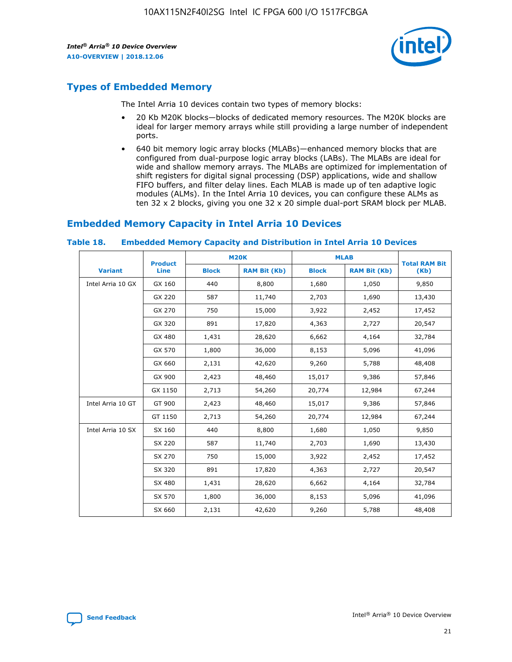![](_page_21_Picture_2.jpeg)

### **Types of Embedded Memory**

The Intel Arria 10 devices contain two types of memory blocks:

- 20 Kb M20K blocks—blocks of dedicated memory resources. The M20K blocks are ideal for larger memory arrays while still providing a large number of independent ports.
- 640 bit memory logic array blocks (MLABs)—enhanced memory blocks that are configured from dual-purpose logic array blocks (LABs). The MLABs are ideal for wide and shallow memory arrays. The MLABs are optimized for implementation of shift registers for digital signal processing (DSP) applications, wide and shallow FIFO buffers, and filter delay lines. Each MLAB is made up of ten adaptive logic modules (ALMs). In the Intel Arria 10 devices, you can configure these ALMs as ten 32 x 2 blocks, giving you one 32 x 20 simple dual-port SRAM block per MLAB.

### **Embedded Memory Capacity in Intel Arria 10 Devices**

|                   | <b>Product</b> |              | <b>M20K</b>         | <b>MLAB</b>  |                     | <b>Total RAM Bit</b> |
|-------------------|----------------|--------------|---------------------|--------------|---------------------|----------------------|
| <b>Variant</b>    | <b>Line</b>    | <b>Block</b> | <b>RAM Bit (Kb)</b> | <b>Block</b> | <b>RAM Bit (Kb)</b> | (Kb)                 |
| Intel Arria 10 GX | GX 160         | 440          | 8,800               | 1,680        | 1,050               | 9,850                |
|                   | GX 220         | 587          | 11,740              | 2,703        | 1,690               | 13,430               |
|                   | GX 270         | 750          | 15,000              | 3,922        | 2,452               | 17,452               |
|                   | GX 320         | 891          | 17,820              | 4,363        | 2,727               | 20,547               |
|                   | GX 480         | 1,431        | 28,620              | 6,662        | 4,164               | 32,784               |
|                   | GX 570         | 1,800        | 36,000              | 8,153        | 5,096               | 41,096               |
|                   | GX 660         | 2,131        | 42,620              | 9,260        | 5,788               | 48,408               |
|                   | GX 900         | 2,423        | 48,460              | 15,017       | 9,386               | 57,846               |
|                   | GX 1150        | 2,713        | 54,260              | 20,774       | 12,984              | 67,244               |
| Intel Arria 10 GT | GT 900         | 2,423        | 48,460              | 15,017       | 9,386               | 57,846               |
|                   | GT 1150        | 2,713        | 54,260              | 20,774       | 12,984              | 67,244               |
| Intel Arria 10 SX | SX 160         | 440          | 8,800               | 1,680        | 1,050               | 9,850                |
|                   | SX 220         | 587          | 11,740              | 2,703        | 1,690               | 13,430               |
|                   | SX 270         | 750          | 15,000              | 3,922        | 2,452               | 17,452               |
|                   | SX 320         | 891          | 17,820              | 4,363        | 2,727               | 20,547               |
|                   | SX 480         | 1,431        | 28,620              | 6,662        | 4,164               | 32,784               |
|                   | SX 570         | 1,800        | 36,000              | 8,153        | 5,096               | 41,096               |
|                   | SX 660         | 2,131        | 42,620              | 9,260        | 5,788               | 48,408               |

#### **Table 18. Embedded Memory Capacity and Distribution in Intel Arria 10 Devices**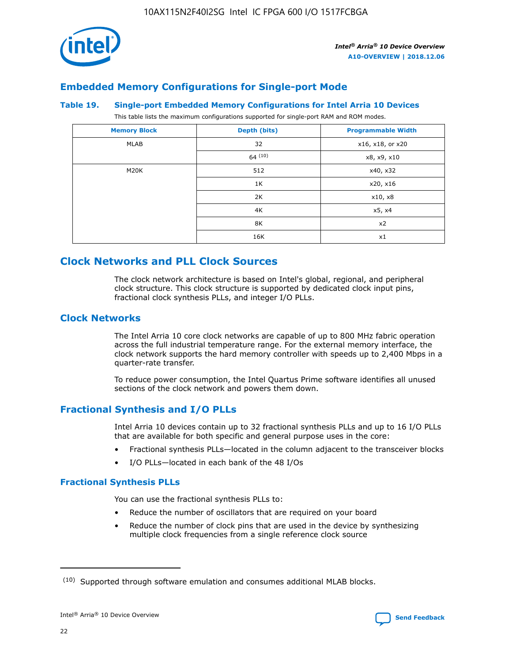![](_page_22_Picture_1.jpeg)

### **Embedded Memory Configurations for Single-port Mode**

#### **Table 19. Single-port Embedded Memory Configurations for Intel Arria 10 Devices**

This table lists the maximum configurations supported for single-port RAM and ROM modes.

| <b>Memory Block</b> | Depth (bits) | <b>Programmable Width</b> |
|---------------------|--------------|---------------------------|
| MLAB                | 32           | x16, x18, or x20          |
|                     | 64(10)       | x8, x9, x10               |
| M20K                | 512          | x40, x32                  |
|                     | 1K           | x20, x16                  |
|                     | 2K           | x10, x8                   |
|                     | 4K           | x5, x4                    |
|                     | 8K           | x2                        |
|                     | 16K          | x1                        |

### **Clock Networks and PLL Clock Sources**

The clock network architecture is based on Intel's global, regional, and peripheral clock structure. This clock structure is supported by dedicated clock input pins, fractional clock synthesis PLLs, and integer I/O PLLs.

### **Clock Networks**

The Intel Arria 10 core clock networks are capable of up to 800 MHz fabric operation across the full industrial temperature range. For the external memory interface, the clock network supports the hard memory controller with speeds up to 2,400 Mbps in a quarter-rate transfer.

To reduce power consumption, the Intel Quartus Prime software identifies all unused sections of the clock network and powers them down.

### **Fractional Synthesis and I/O PLLs**

Intel Arria 10 devices contain up to 32 fractional synthesis PLLs and up to 16 I/O PLLs that are available for both specific and general purpose uses in the core:

- Fractional synthesis PLLs—located in the column adjacent to the transceiver blocks
- I/O PLLs—located in each bank of the 48 I/Os

### **Fractional Synthesis PLLs**

You can use the fractional synthesis PLLs to:

- Reduce the number of oscillators that are required on your board
- Reduce the number of clock pins that are used in the device by synthesizing multiple clock frequencies from a single reference clock source

<sup>(10)</sup> Supported through software emulation and consumes additional MLAB blocks.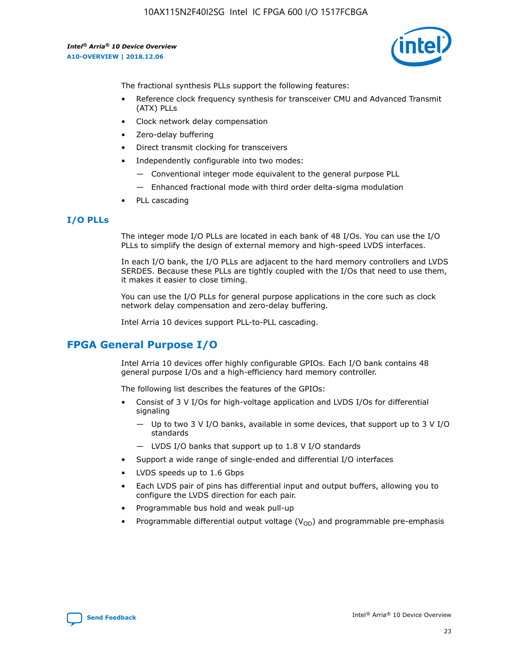![](_page_23_Picture_2.jpeg)

The fractional synthesis PLLs support the following features:

- Reference clock frequency synthesis for transceiver CMU and Advanced Transmit (ATX) PLLs
- Clock network delay compensation
- Zero-delay buffering
- Direct transmit clocking for transceivers
- Independently configurable into two modes:
	- Conventional integer mode equivalent to the general purpose PLL
	- Enhanced fractional mode with third order delta-sigma modulation
- PLL cascading

### **I/O PLLs**

The integer mode I/O PLLs are located in each bank of 48 I/Os. You can use the I/O PLLs to simplify the design of external memory and high-speed LVDS interfaces.

In each I/O bank, the I/O PLLs are adjacent to the hard memory controllers and LVDS SERDES. Because these PLLs are tightly coupled with the I/Os that need to use them, it makes it easier to close timing.

You can use the I/O PLLs for general purpose applications in the core such as clock network delay compensation and zero-delay buffering.

Intel Arria 10 devices support PLL-to-PLL cascading.

### **FPGA General Purpose I/O**

Intel Arria 10 devices offer highly configurable GPIOs. Each I/O bank contains 48 general purpose I/Os and a high-efficiency hard memory controller.

The following list describes the features of the GPIOs:

- Consist of 3 V I/Os for high-voltage application and LVDS I/Os for differential signaling
	- Up to two 3 V I/O banks, available in some devices, that support up to 3 V I/O standards
	- LVDS I/O banks that support up to 1.8 V I/O standards
- Support a wide range of single-ended and differential I/O interfaces
- LVDS speeds up to 1.6 Gbps
- Each LVDS pair of pins has differential input and output buffers, allowing you to configure the LVDS direction for each pair.
- Programmable bus hold and weak pull-up
- Programmable differential output voltage  $(V_{OD})$  and programmable pre-emphasis

![](_page_23_Picture_28.jpeg)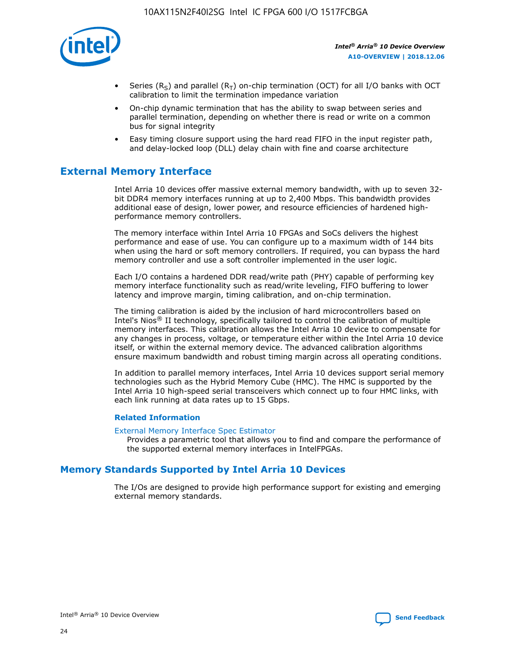![](_page_24_Picture_1.jpeg)

- Series (R<sub>S</sub>) and parallel (R<sub>T</sub>) on-chip termination (OCT) for all I/O banks with OCT calibration to limit the termination impedance variation
- On-chip dynamic termination that has the ability to swap between series and parallel termination, depending on whether there is read or write on a common bus for signal integrity
- Easy timing closure support using the hard read FIFO in the input register path, and delay-locked loop (DLL) delay chain with fine and coarse architecture

### **External Memory Interface**

Intel Arria 10 devices offer massive external memory bandwidth, with up to seven 32 bit DDR4 memory interfaces running at up to 2,400 Mbps. This bandwidth provides additional ease of design, lower power, and resource efficiencies of hardened highperformance memory controllers.

The memory interface within Intel Arria 10 FPGAs and SoCs delivers the highest performance and ease of use. You can configure up to a maximum width of 144 bits when using the hard or soft memory controllers. If required, you can bypass the hard memory controller and use a soft controller implemented in the user logic.

Each I/O contains a hardened DDR read/write path (PHY) capable of performing key memory interface functionality such as read/write leveling, FIFO buffering to lower latency and improve margin, timing calibration, and on-chip termination.

The timing calibration is aided by the inclusion of hard microcontrollers based on Intel's Nios® II technology, specifically tailored to control the calibration of multiple memory interfaces. This calibration allows the Intel Arria 10 device to compensate for any changes in process, voltage, or temperature either within the Intel Arria 10 device itself, or within the external memory device. The advanced calibration algorithms ensure maximum bandwidth and robust timing margin across all operating conditions.

In addition to parallel memory interfaces, Intel Arria 10 devices support serial memory technologies such as the Hybrid Memory Cube (HMC). The HMC is supported by the Intel Arria 10 high-speed serial transceivers which connect up to four HMC links, with each link running at data rates up to 15 Gbps.

### **Related Information**

#### [External Memory Interface Spec Estimator](http://www.altera.com/technology/memory/estimator/mem-emif-index.html)

Provides a parametric tool that allows you to find and compare the performance of the supported external memory interfaces in IntelFPGAs.

### **Memory Standards Supported by Intel Arria 10 Devices**

The I/Os are designed to provide high performance support for existing and emerging external memory standards.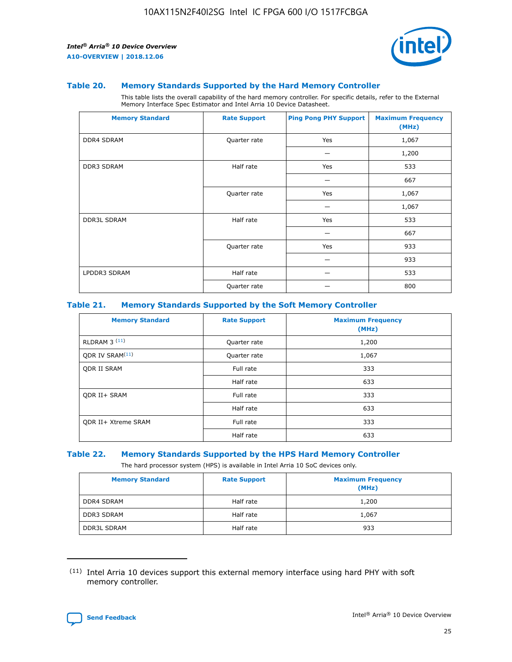![](_page_25_Picture_2.jpeg)

#### **Table 20. Memory Standards Supported by the Hard Memory Controller**

This table lists the overall capability of the hard memory controller. For specific details, refer to the External Memory Interface Spec Estimator and Intel Arria 10 Device Datasheet.

| <b>Memory Standard</b> | <b>Rate Support</b> | <b>Ping Pong PHY Support</b> | <b>Maximum Frequency</b><br>(MHz) |
|------------------------|---------------------|------------------------------|-----------------------------------|
| <b>DDR4 SDRAM</b>      | Quarter rate        | Yes                          | 1,067                             |
|                        |                     |                              | 1,200                             |
| <b>DDR3 SDRAM</b>      | Half rate           | Yes                          | 533                               |
|                        |                     |                              | 667                               |
|                        | Quarter rate        | Yes                          | 1,067                             |
|                        |                     |                              | 1,067                             |
| <b>DDR3L SDRAM</b>     | Half rate           | Yes                          | 533                               |
|                        |                     |                              | 667                               |
|                        | Quarter rate        | Yes                          | 933                               |
|                        |                     |                              | 933                               |
| LPDDR3 SDRAM           | Half rate           |                              | 533                               |
|                        | Quarter rate        |                              | 800                               |

#### **Table 21. Memory Standards Supported by the Soft Memory Controller**

| <b>Memory Standard</b>      | <b>Rate Support</b> | <b>Maximum Frequency</b><br>(MHz) |
|-----------------------------|---------------------|-----------------------------------|
| <b>RLDRAM 3 (11)</b>        | Quarter rate        | 1,200                             |
| ODR IV SRAM <sup>(11)</sup> | Quarter rate        | 1,067                             |
| <b>ODR II SRAM</b>          | Full rate           | 333                               |
|                             | Half rate           | 633                               |
| <b>ODR II+ SRAM</b>         | Full rate           | 333                               |
|                             | Half rate           | 633                               |
| <b>ODR II+ Xtreme SRAM</b>  | Full rate           | 333                               |
|                             | Half rate           | 633                               |

#### **Table 22. Memory Standards Supported by the HPS Hard Memory Controller**

The hard processor system (HPS) is available in Intel Arria 10 SoC devices only.

| <b>Memory Standard</b> | <b>Rate Support</b> | <b>Maximum Frequency</b><br>(MHz) |
|------------------------|---------------------|-----------------------------------|
| <b>DDR4 SDRAM</b>      | Half rate           | 1,200                             |
| <b>DDR3 SDRAM</b>      | Half rate           | 1,067                             |
| <b>DDR3L SDRAM</b>     | Half rate           | 933                               |

<sup>(11)</sup> Intel Arria 10 devices support this external memory interface using hard PHY with soft memory controller.

![](_page_25_Picture_12.jpeg)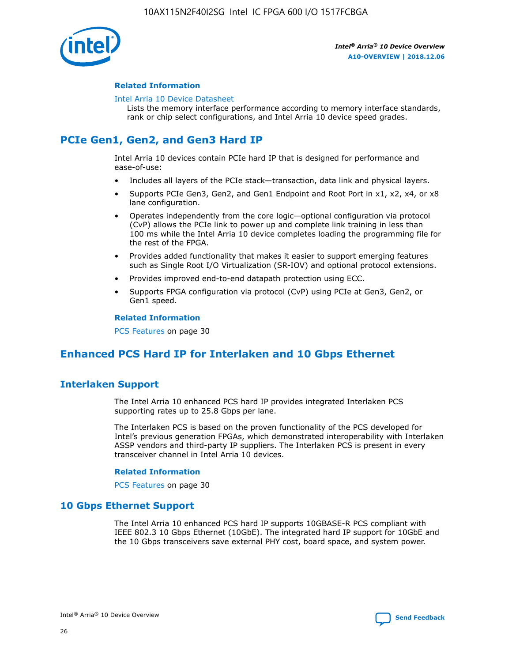![](_page_26_Picture_1.jpeg)

### **Related Information**

#### [Intel Arria 10 Device Datasheet](https://www.intel.com/content/www/us/en/programmable/documentation/mcn1413182292568.html#mcn1413182153340)

Lists the memory interface performance according to memory interface standards, rank or chip select configurations, and Intel Arria 10 device speed grades.

### **PCIe Gen1, Gen2, and Gen3 Hard IP**

Intel Arria 10 devices contain PCIe hard IP that is designed for performance and ease-of-use:

- Includes all layers of the PCIe stack—transaction, data link and physical layers.
- Supports PCIe Gen3, Gen2, and Gen1 Endpoint and Root Port in x1, x2, x4, or x8 lane configuration.
- Operates independently from the core logic—optional configuration via protocol (CvP) allows the PCIe link to power up and complete link training in less than 100 ms while the Intel Arria 10 device completes loading the programming file for the rest of the FPGA.
- Provides added functionality that makes it easier to support emerging features such as Single Root I/O Virtualization (SR-IOV) and optional protocol extensions.
- Provides improved end-to-end datapath protection using ECC.
- Supports FPGA configuration via protocol (CvP) using PCIe at Gen3, Gen2, or Gen1 speed.

#### **Related Information**

PCS Features on page 30

### **Enhanced PCS Hard IP for Interlaken and 10 Gbps Ethernet**

### **Interlaken Support**

The Intel Arria 10 enhanced PCS hard IP provides integrated Interlaken PCS supporting rates up to 25.8 Gbps per lane.

The Interlaken PCS is based on the proven functionality of the PCS developed for Intel's previous generation FPGAs, which demonstrated interoperability with Interlaken ASSP vendors and third-party IP suppliers. The Interlaken PCS is present in every transceiver channel in Intel Arria 10 devices.

### **Related Information**

PCS Features on page 30

### **10 Gbps Ethernet Support**

The Intel Arria 10 enhanced PCS hard IP supports 10GBASE-R PCS compliant with IEEE 802.3 10 Gbps Ethernet (10GbE). The integrated hard IP support for 10GbE and the 10 Gbps transceivers save external PHY cost, board space, and system power.

![](_page_26_Picture_24.jpeg)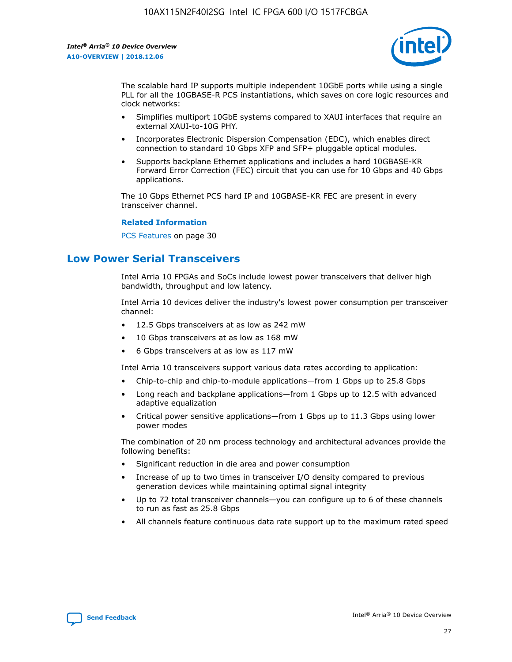![](_page_27_Picture_2.jpeg)

The scalable hard IP supports multiple independent 10GbE ports while using a single PLL for all the 10GBASE-R PCS instantiations, which saves on core logic resources and clock networks:

- Simplifies multiport 10GbE systems compared to XAUI interfaces that require an external XAUI-to-10G PHY.
- Incorporates Electronic Dispersion Compensation (EDC), which enables direct connection to standard 10 Gbps XFP and SFP+ pluggable optical modules.
- Supports backplane Ethernet applications and includes a hard 10GBASE-KR Forward Error Correction (FEC) circuit that you can use for 10 Gbps and 40 Gbps applications.

The 10 Gbps Ethernet PCS hard IP and 10GBASE-KR FEC are present in every transceiver channel.

#### **Related Information**

PCS Features on page 30

### **Low Power Serial Transceivers**

Intel Arria 10 FPGAs and SoCs include lowest power transceivers that deliver high bandwidth, throughput and low latency.

Intel Arria 10 devices deliver the industry's lowest power consumption per transceiver channel:

- 12.5 Gbps transceivers at as low as 242 mW
- 10 Gbps transceivers at as low as 168 mW
- 6 Gbps transceivers at as low as 117 mW

Intel Arria 10 transceivers support various data rates according to application:

- Chip-to-chip and chip-to-module applications—from 1 Gbps up to 25.8 Gbps
- Long reach and backplane applications—from 1 Gbps up to 12.5 with advanced adaptive equalization
- Critical power sensitive applications—from 1 Gbps up to 11.3 Gbps using lower power modes

The combination of 20 nm process technology and architectural advances provide the following benefits:

- Significant reduction in die area and power consumption
- Increase of up to two times in transceiver I/O density compared to previous generation devices while maintaining optimal signal integrity
- Up to 72 total transceiver channels—you can configure up to 6 of these channels to run as fast as 25.8 Gbps
- All channels feature continuous data rate support up to the maximum rated speed

![](_page_27_Picture_25.jpeg)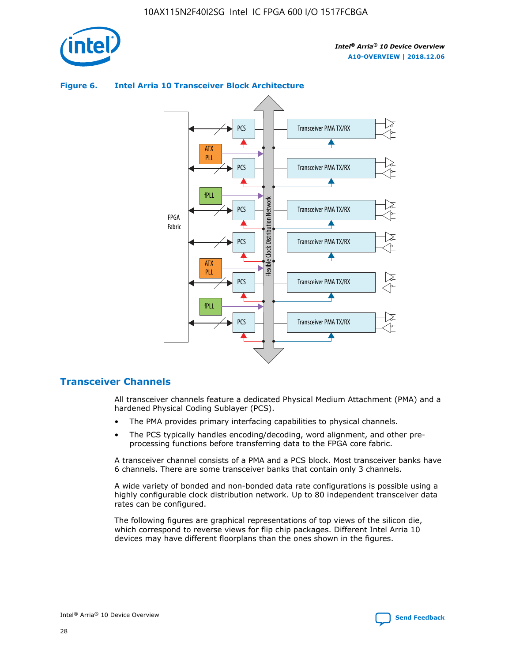![](_page_28_Picture_1.jpeg)

![](_page_28_Figure_3.jpeg)

### **Figure 6. Intel Arria 10 Transceiver Block Architecture**

### **Transceiver Channels**

All transceiver channels feature a dedicated Physical Medium Attachment (PMA) and a hardened Physical Coding Sublayer (PCS).

- The PMA provides primary interfacing capabilities to physical channels.
- The PCS typically handles encoding/decoding, word alignment, and other preprocessing functions before transferring data to the FPGA core fabric.

A transceiver channel consists of a PMA and a PCS block. Most transceiver banks have 6 channels. There are some transceiver banks that contain only 3 channels.

A wide variety of bonded and non-bonded data rate configurations is possible using a highly configurable clock distribution network. Up to 80 independent transceiver data rates can be configured.

The following figures are graphical representations of top views of the silicon die, which correspond to reverse views for flip chip packages. Different Intel Arria 10 devices may have different floorplans than the ones shown in the figures.

![](_page_28_Picture_12.jpeg)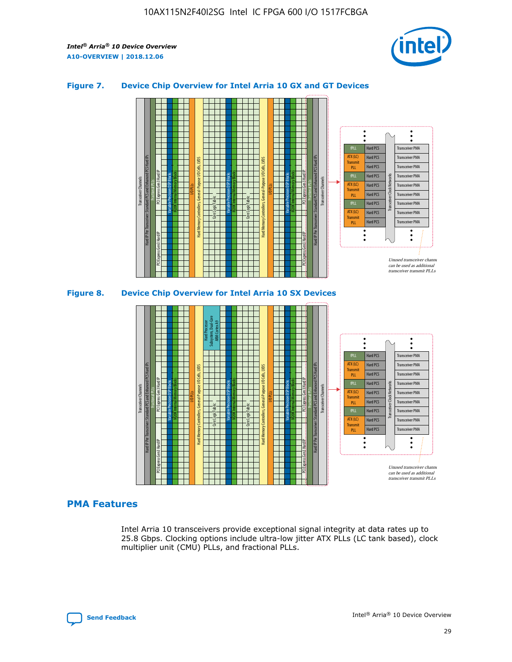![](_page_29_Picture_2.jpeg)

### **Figure 7. Device Chip Overview for Intel Arria 10 GX and GT Devices**

![](_page_29_Figure_4.jpeg)

M20K Internal Memory Blocks Core Logic Fabric Transceiver Channels Hard IP Per Transceiver: Standard PCS and Enhanced PCS Hard IPs PCI Express Gen3 Hard IP Fractional PLLs M20K Internal Memory Blocks PCI Express Gen3 Hard IP Variable Precision DSP Blocks I/O PLLs Hard Memory Controllers, General-Purpose I/O Cells, LVDS Hard Processor Subsystem, Dual-Core ARM Cortex A9 M20K Internal Memory Blocks Variable Precision DSP Blocks M20K Internal Memory Blocks Core Logic Fabric I/O PLLs Hard Memory Controllers, General-Purpose I/O Cells, LVDS M20K Internal Memory Blocks Variable Precision DSP Blocks M20K Internal Memory Blocks Transceiver Channels Hard IP Per Transceiver: Standard PCS and Enhanced PCS Hard IPs PCI Express Gen3 Hard IP Fractional PLLs PCI Express Gen3 Hard IP  $\ddot{\cdot}$ Hard PCS Transceiver PMA fPLL ATX (LC) Hard PCS Transceiver PMA **Transmit** Hard PCS Transceiver PMA PLL fPLL Hard PCS Transceiver PMA Transceiver Clock Networks ATX (LC) Hard PCS Transceiver PMA Transmi Hard PCS Transceiver PMA PLL fPLL Hard PCS Transceiver PMA Transceiver PMA Hard PCS ATX (LC) **Transmit** Hard PCS Transceiver PMA PLL Unused transceiver chann can be used as additional transceiver transmit PLLs

### **PMA Features**

Intel Arria 10 transceivers provide exceptional signal integrity at data rates up to 25.8 Gbps. Clocking options include ultra-low jitter ATX PLLs (LC tank based), clock multiplier unit (CMU) PLLs, and fractional PLLs.

![](_page_29_Picture_8.jpeg)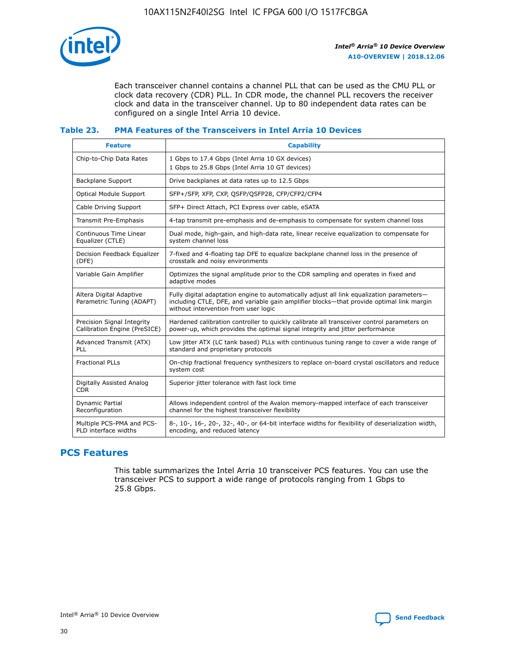![](_page_30_Picture_1.jpeg)

Each transceiver channel contains a channel PLL that can be used as the CMU PLL or clock data recovery (CDR) PLL. In CDR mode, the channel PLL recovers the receiver clock and data in the transceiver channel. Up to 80 independent data rates can be configured on a single Intel Arria 10 device.

### **Table 23. PMA Features of the Transceivers in Intel Arria 10 Devices**

| <b>Feature</b>                                             | <b>Capability</b>                                                                                                                                                                                                             |
|------------------------------------------------------------|-------------------------------------------------------------------------------------------------------------------------------------------------------------------------------------------------------------------------------|
| Chip-to-Chip Data Rates                                    | 1 Gbps to 17.4 Gbps (Intel Arria 10 GX devices)<br>1 Gbps to 25.8 Gbps (Intel Arria 10 GT devices)                                                                                                                            |
| Backplane Support                                          | Drive backplanes at data rates up to 12.5 Gbps                                                                                                                                                                                |
| Optical Module Support                                     | SFP+/SFP, XFP, CXP, QSFP/QSFP28, CFP/CFP2/CFP4                                                                                                                                                                                |
| Cable Driving Support                                      | SFP+ Direct Attach, PCI Express over cable, eSATA                                                                                                                                                                             |
| Transmit Pre-Emphasis                                      | 4-tap transmit pre-emphasis and de-emphasis to compensate for system channel loss                                                                                                                                             |
| Continuous Time Linear<br>Equalizer (CTLE)                 | Dual mode, high-gain, and high-data rate, linear receive equalization to compensate for<br>system channel loss                                                                                                                |
| Decision Feedback Equalizer<br>(DFE)                       | 7-fixed and 4-floating tap DFE to equalize backplane channel loss in the presence of<br>crosstalk and noisy environments                                                                                                      |
| Variable Gain Amplifier                                    | Optimizes the signal amplitude prior to the CDR sampling and operates in fixed and<br>adaptive modes                                                                                                                          |
| Altera Digital Adaptive<br>Parametric Tuning (ADAPT)       | Fully digital adaptation engine to automatically adjust all link equalization parameters-<br>including CTLE, DFE, and variable gain amplifier blocks—that provide optimal link margin<br>without intervention from user logic |
| Precision Signal Integrity<br>Calibration Engine (PreSICE) | Hardened calibration controller to quickly calibrate all transceiver control parameters on<br>power-up, which provides the optimal signal integrity and jitter performance                                                    |
| Advanced Transmit (ATX)<br><b>PLL</b>                      | Low jitter ATX (LC tank based) PLLs with continuous tuning range to cover a wide range of<br>standard and proprietary protocols                                                                                               |
| <b>Fractional PLLs</b>                                     | On-chip fractional frequency synthesizers to replace on-board crystal oscillators and reduce<br>system cost                                                                                                                   |
| Digitally Assisted Analog<br><b>CDR</b>                    | Superior jitter tolerance with fast lock time                                                                                                                                                                                 |
| Dynamic Partial<br>Reconfiguration                         | Allows independent control of the Avalon memory-mapped interface of each transceiver<br>channel for the highest transceiver flexibility                                                                                       |
| Multiple PCS-PMA and PCS-<br>PLD interface widths          | 8-, 10-, 16-, 20-, 32-, 40-, or 64-bit interface widths for flexibility of deserialization width,<br>encoding, and reduced latency                                                                                            |

### **PCS Features**

This table summarizes the Intel Arria 10 transceiver PCS features. You can use the transceiver PCS to support a wide range of protocols ranging from 1 Gbps to 25.8 Gbps.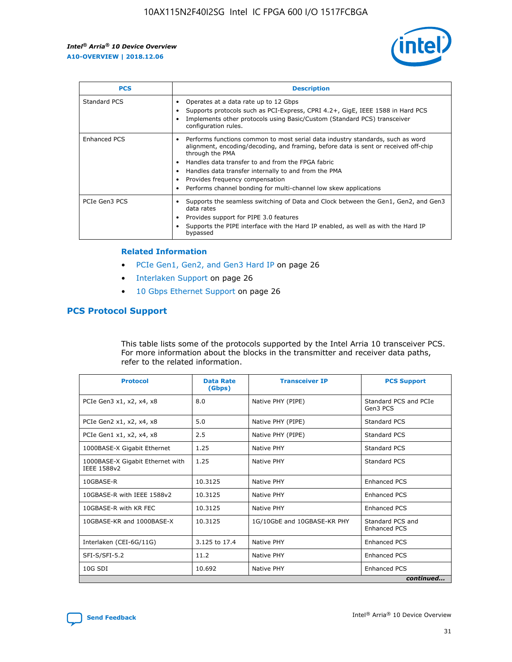![](_page_31_Picture_2.jpeg)

| <b>PCS</b>    | <b>Description</b>                                                                                                                                                                                                                                                                                                                                                                                             |
|---------------|----------------------------------------------------------------------------------------------------------------------------------------------------------------------------------------------------------------------------------------------------------------------------------------------------------------------------------------------------------------------------------------------------------------|
| Standard PCS  | Operates at a data rate up to 12 Gbps<br>Supports protocols such as PCI-Express, CPRI 4.2+, GigE, IEEE 1588 in Hard PCS<br>Implements other protocols using Basic/Custom (Standard PCS) transceiver<br>configuration rules.                                                                                                                                                                                    |
| Enhanced PCS  | Performs functions common to most serial data industry standards, such as word<br>alignment, encoding/decoding, and framing, before data is sent or received off-chip<br>through the PMA<br>• Handles data transfer to and from the FPGA fabric<br>Handles data transfer internally to and from the PMA<br>Provides frequency compensation<br>Performs channel bonding for multi-channel low skew applications |
| PCIe Gen3 PCS | Supports the seamless switching of Data and Clock between the Gen1, Gen2, and Gen3<br>data rates<br>Provides support for PIPE 3.0 features<br>Supports the PIPE interface with the Hard IP enabled, as well as with the Hard IP<br>bypassed                                                                                                                                                                    |

#### **Related Information**

- PCIe Gen1, Gen2, and Gen3 Hard IP on page 26
- Interlaken Support on page 26
- 10 Gbps Ethernet Support on page 26

### **PCS Protocol Support**

This table lists some of the protocols supported by the Intel Arria 10 transceiver PCS. For more information about the blocks in the transmitter and receiver data paths, refer to the related information.

| <b>Protocol</b>                                 | <b>Data Rate</b><br>(Gbps) | <b>Transceiver IP</b>       | <b>PCS Support</b>                      |
|-------------------------------------------------|----------------------------|-----------------------------|-----------------------------------------|
| PCIe Gen3 x1, x2, x4, x8                        | 8.0                        | Native PHY (PIPE)           | Standard PCS and PCIe<br>Gen3 PCS       |
| PCIe Gen2 x1, x2, x4, x8                        | 5.0                        | Native PHY (PIPE)           | <b>Standard PCS</b>                     |
| PCIe Gen1 x1, x2, x4, x8                        | 2.5                        | Native PHY (PIPE)           | Standard PCS                            |
| 1000BASE-X Gigabit Ethernet                     | 1.25                       | Native PHY                  | <b>Standard PCS</b>                     |
| 1000BASE-X Gigabit Ethernet with<br>IEEE 1588v2 | 1.25                       | Native PHY                  | Standard PCS                            |
| 10GBASE-R                                       | 10.3125                    | Native PHY                  | <b>Enhanced PCS</b>                     |
| 10GBASE-R with IEEE 1588v2                      | 10.3125                    | Native PHY                  | <b>Enhanced PCS</b>                     |
| 10GBASE-R with KR FEC                           | 10.3125                    | Native PHY                  | <b>Enhanced PCS</b>                     |
| 10GBASE-KR and 1000BASE-X                       | 10.3125                    | 1G/10GbE and 10GBASE-KR PHY | Standard PCS and<br><b>Enhanced PCS</b> |
| Interlaken (CEI-6G/11G)                         | 3.125 to 17.4              | Native PHY                  | <b>Enhanced PCS</b>                     |
| SFI-S/SFI-5.2                                   | 11.2                       | Native PHY                  | <b>Enhanced PCS</b>                     |
| $10G$ SDI                                       | 10.692                     | Native PHY                  | <b>Enhanced PCS</b>                     |
|                                                 |                            |                             | continued                               |

![](_page_31_Picture_11.jpeg)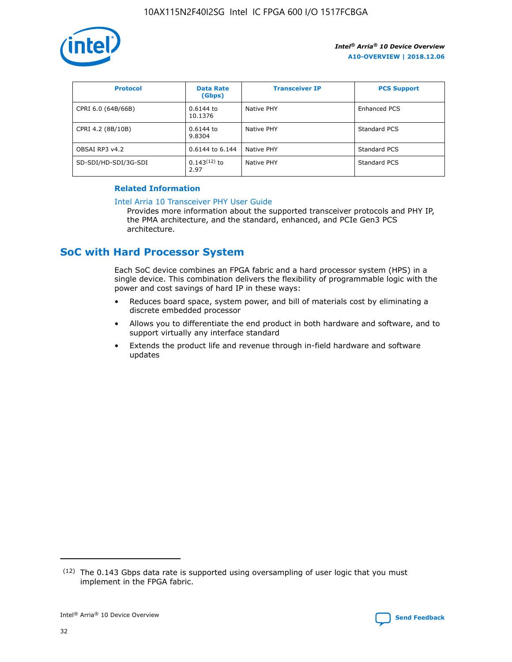![](_page_32_Picture_1.jpeg)

| <b>Protocol</b>      | <b>Data Rate</b><br>(Gbps) | <b>Transceiver IP</b> | <b>PCS Support</b> |
|----------------------|----------------------------|-----------------------|--------------------|
| CPRI 6.0 (64B/66B)   | 0.6144 to<br>10.1376       | Native PHY            | Enhanced PCS       |
| CPRI 4.2 (8B/10B)    | 0.6144 to<br>9.8304        | Native PHY            | Standard PCS       |
| OBSAI RP3 v4.2       | 0.6144 to 6.144            | Native PHY            | Standard PCS       |
| SD-SDI/HD-SDI/3G-SDI | $0.143(12)$ to<br>2.97     | Native PHY            | Standard PCS       |

### **Related Information**

#### [Intel Arria 10 Transceiver PHY User Guide](https://www.intel.com/content/www/us/en/programmable/documentation/nik1398707230472.html#nik1398707091164)

Provides more information about the supported transceiver protocols and PHY IP, the PMA architecture, and the standard, enhanced, and PCIe Gen3 PCS architecture.

### **SoC with Hard Processor System**

Each SoC device combines an FPGA fabric and a hard processor system (HPS) in a single device. This combination delivers the flexibility of programmable logic with the power and cost savings of hard IP in these ways:

- Reduces board space, system power, and bill of materials cost by eliminating a discrete embedded processor
- Allows you to differentiate the end product in both hardware and software, and to support virtually any interface standard
- Extends the product life and revenue through in-field hardware and software updates

 $(12)$  The 0.143 Gbps data rate is supported using oversampling of user logic that you must implement in the FPGA fabric.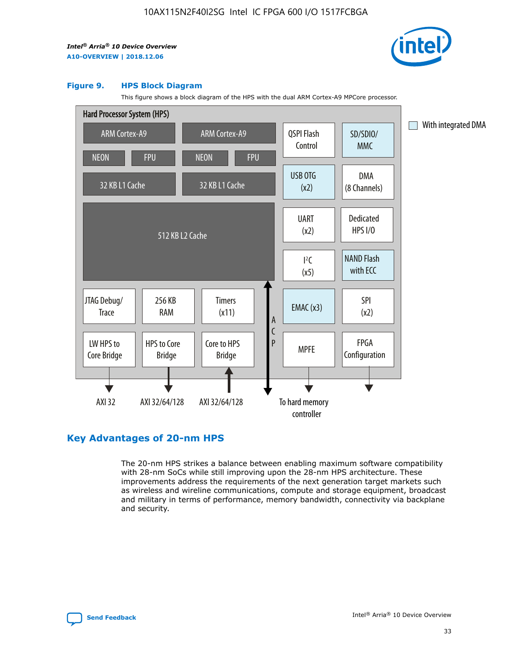![](_page_33_Picture_2.jpeg)

#### **Figure 9. HPS Block Diagram**

This figure shows a block diagram of the HPS with the dual ARM Cortex-A9 MPCore processor.

![](_page_33_Figure_5.jpeg)

### **Key Advantages of 20-nm HPS**

The 20-nm HPS strikes a balance between enabling maximum software compatibility with 28-nm SoCs while still improving upon the 28-nm HPS architecture. These improvements address the requirements of the next generation target markets such as wireless and wireline communications, compute and storage equipment, broadcast and military in terms of performance, memory bandwidth, connectivity via backplane and security.

![](_page_33_Picture_8.jpeg)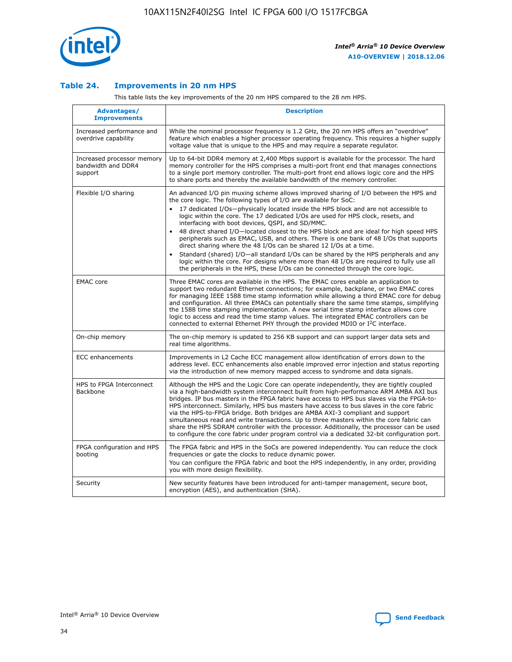![](_page_34_Picture_1.jpeg)

### **Table 24. Improvements in 20 nm HPS**

This table lists the key improvements of the 20 nm HPS compared to the 28 nm HPS.

| Advantages/<br><b>Improvements</b>                          | <b>Description</b>                                                                                                                                                                                                                                                                                                                                                                                                                                                                                                                                                                                                                                                                                                                                                                                                                                                                                                                                |
|-------------------------------------------------------------|---------------------------------------------------------------------------------------------------------------------------------------------------------------------------------------------------------------------------------------------------------------------------------------------------------------------------------------------------------------------------------------------------------------------------------------------------------------------------------------------------------------------------------------------------------------------------------------------------------------------------------------------------------------------------------------------------------------------------------------------------------------------------------------------------------------------------------------------------------------------------------------------------------------------------------------------------|
| Increased performance and<br>overdrive capability           | While the nominal processor frequency is 1.2 GHz, the 20 nm HPS offers an "overdrive"<br>feature which enables a higher processor operating frequency. This requires a higher supply<br>voltage value that is unique to the HPS and may require a separate regulator.                                                                                                                                                                                                                                                                                                                                                                                                                                                                                                                                                                                                                                                                             |
| Increased processor memory<br>bandwidth and DDR4<br>support | Up to 64-bit DDR4 memory at 2,400 Mbps support is available for the processor. The hard<br>memory controller for the HPS comprises a multi-port front end that manages connections<br>to a single port memory controller. The multi-port front end allows logic core and the HPS<br>to share ports and thereby the available bandwidth of the memory controller.                                                                                                                                                                                                                                                                                                                                                                                                                                                                                                                                                                                  |
| Flexible I/O sharing                                        | An advanced I/O pin muxing scheme allows improved sharing of I/O between the HPS and<br>the core logic. The following types of I/O are available for SoC:<br>$\bullet$<br>17 dedicated I/Os-physically located inside the HPS block and are not accessible to<br>logic within the core. The 17 dedicated I/Os are used for HPS clock, resets, and<br>interfacing with boot devices, QSPI, and SD/MMC.<br>48 direct shared I/O-located closest to the HPS block and are ideal for high speed HPS<br>$\bullet$<br>peripherals such as EMAC, USB, and others. There is one bank of 48 I/Os that supports<br>direct sharing where the 48 I/Os can be shared 12 I/Os at a time.<br>Standard (shared) I/O-all standard I/Os can be shared by the HPS peripherals and any<br>logic within the core. For designs where more than 48 I/Os are required to fully use all<br>the peripherals in the HPS, these I/Os can be connected through the core logic. |
| <b>EMAC</b> core                                            | Three EMAC cores are available in the HPS. The EMAC cores enable an application to<br>support two redundant Ethernet connections; for example, backplane, or two EMAC cores<br>for managing IEEE 1588 time stamp information while allowing a third EMAC core for debug<br>and configuration. All three EMACs can potentially share the same time stamps, simplifying<br>the 1588 time stamping implementation. A new serial time stamp interface allows core<br>logic to access and read the time stamp values. The integrated EMAC controllers can be<br>connected to external Ethernet PHY through the provided MDIO or I <sup>2</sup> C interface.                                                                                                                                                                                                                                                                                            |
| On-chip memory                                              | The on-chip memory is updated to 256 KB support and can support larger data sets and<br>real time algorithms.                                                                                                                                                                                                                                                                                                                                                                                                                                                                                                                                                                                                                                                                                                                                                                                                                                     |
| <b>ECC</b> enhancements                                     | Improvements in L2 Cache ECC management allow identification of errors down to the<br>address level. ECC enhancements also enable improved error injection and status reporting<br>via the introduction of new memory mapped access to syndrome and data signals.                                                                                                                                                                                                                                                                                                                                                                                                                                                                                                                                                                                                                                                                                 |
| HPS to FPGA Interconnect<br>Backbone                        | Although the HPS and the Logic Core can operate independently, they are tightly coupled<br>via a high-bandwidth system interconnect built from high-performance ARM AMBA AXI bus<br>bridges. IP bus masters in the FPGA fabric have access to HPS bus slaves via the FPGA-to-<br>HPS interconnect. Similarly, HPS bus masters have access to bus slaves in the core fabric<br>via the HPS-to-FPGA bridge. Both bridges are AMBA AXI-3 compliant and support<br>simultaneous read and write transactions. Up to three masters within the core fabric can<br>share the HPS SDRAM controller with the processor. Additionally, the processor can be used<br>to configure the core fabric under program control via a dedicated 32-bit configuration port.                                                                                                                                                                                            |
| FPGA configuration and HPS<br>booting                       | The FPGA fabric and HPS in the SoCs are powered independently. You can reduce the clock<br>frequencies or gate the clocks to reduce dynamic power.<br>You can configure the FPGA fabric and boot the HPS independently, in any order, providing<br>you with more design flexibility.                                                                                                                                                                                                                                                                                                                                                                                                                                                                                                                                                                                                                                                              |
| Security                                                    | New security features have been introduced for anti-tamper management, secure boot,<br>encryption (AES), and authentication (SHA).                                                                                                                                                                                                                                                                                                                                                                                                                                                                                                                                                                                                                                                                                                                                                                                                                |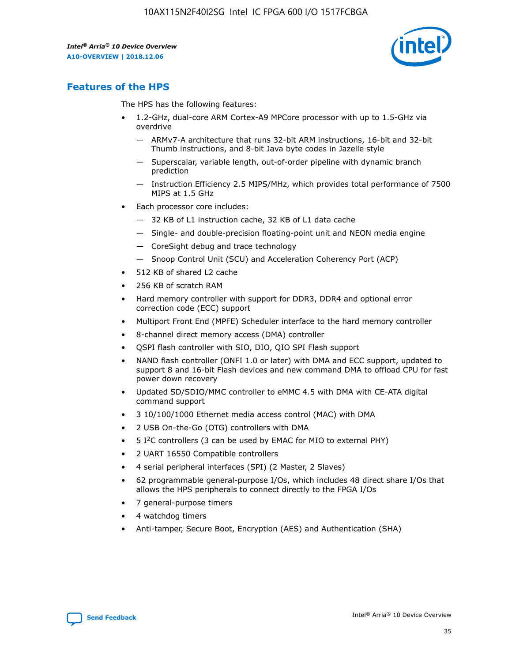![](_page_35_Picture_2.jpeg)

### **Features of the HPS**

The HPS has the following features:

- 1.2-GHz, dual-core ARM Cortex-A9 MPCore processor with up to 1.5-GHz via overdrive
	- ARMv7-A architecture that runs 32-bit ARM instructions, 16-bit and 32-bit Thumb instructions, and 8-bit Java byte codes in Jazelle style
	- Superscalar, variable length, out-of-order pipeline with dynamic branch prediction
	- Instruction Efficiency 2.5 MIPS/MHz, which provides total performance of 7500 MIPS at 1.5 GHz
- Each processor core includes:
	- 32 KB of L1 instruction cache, 32 KB of L1 data cache
	- Single- and double-precision floating-point unit and NEON media engine
	- CoreSight debug and trace technology
	- Snoop Control Unit (SCU) and Acceleration Coherency Port (ACP)
- 512 KB of shared L2 cache
- 256 KB of scratch RAM
- Hard memory controller with support for DDR3, DDR4 and optional error correction code (ECC) support
- Multiport Front End (MPFE) Scheduler interface to the hard memory controller
- 8-channel direct memory access (DMA) controller
- QSPI flash controller with SIO, DIO, QIO SPI Flash support
- NAND flash controller (ONFI 1.0 or later) with DMA and ECC support, updated to support 8 and 16-bit Flash devices and new command DMA to offload CPU for fast power down recovery
- Updated SD/SDIO/MMC controller to eMMC 4.5 with DMA with CE-ATA digital command support
- 3 10/100/1000 Ethernet media access control (MAC) with DMA
- 2 USB On-the-Go (OTG) controllers with DMA
- $\bullet$  5 I<sup>2</sup>C controllers (3 can be used by EMAC for MIO to external PHY)
- 2 UART 16550 Compatible controllers
- 4 serial peripheral interfaces (SPI) (2 Master, 2 Slaves)
- 62 programmable general-purpose I/Os, which includes 48 direct share I/Os that allows the HPS peripherals to connect directly to the FPGA I/Os
- 7 general-purpose timers
- 4 watchdog timers
- Anti-tamper, Secure Boot, Encryption (AES) and Authentication (SHA)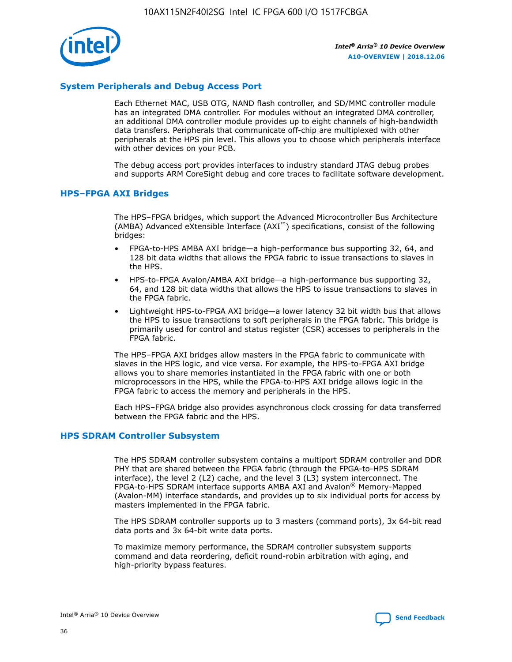![](_page_36_Picture_1.jpeg)

### **System Peripherals and Debug Access Port**

Each Ethernet MAC, USB OTG, NAND flash controller, and SD/MMC controller module has an integrated DMA controller. For modules without an integrated DMA controller, an additional DMA controller module provides up to eight channels of high-bandwidth data transfers. Peripherals that communicate off-chip are multiplexed with other peripherals at the HPS pin level. This allows you to choose which peripherals interface with other devices on your PCB.

The debug access port provides interfaces to industry standard JTAG debug probes and supports ARM CoreSight debug and core traces to facilitate software development.

### **HPS–FPGA AXI Bridges**

The HPS–FPGA bridges, which support the Advanced Microcontroller Bus Architecture (AMBA) Advanced eXtensible Interface (AXI™) specifications, consist of the following bridges:

- FPGA-to-HPS AMBA AXI bridge—a high-performance bus supporting 32, 64, and 128 bit data widths that allows the FPGA fabric to issue transactions to slaves in the HPS.
- HPS-to-FPGA Avalon/AMBA AXI bridge—a high-performance bus supporting 32, 64, and 128 bit data widths that allows the HPS to issue transactions to slaves in the FPGA fabric.
- Lightweight HPS-to-FPGA AXI bridge—a lower latency 32 bit width bus that allows the HPS to issue transactions to soft peripherals in the FPGA fabric. This bridge is primarily used for control and status register (CSR) accesses to peripherals in the FPGA fabric.

The HPS–FPGA AXI bridges allow masters in the FPGA fabric to communicate with slaves in the HPS logic, and vice versa. For example, the HPS-to-FPGA AXI bridge allows you to share memories instantiated in the FPGA fabric with one or both microprocessors in the HPS, while the FPGA-to-HPS AXI bridge allows logic in the FPGA fabric to access the memory and peripherals in the HPS.

Each HPS–FPGA bridge also provides asynchronous clock crossing for data transferred between the FPGA fabric and the HPS.

### **HPS SDRAM Controller Subsystem**

The HPS SDRAM controller subsystem contains a multiport SDRAM controller and DDR PHY that are shared between the FPGA fabric (through the FPGA-to-HPS SDRAM interface), the level 2 (L2) cache, and the level 3 (L3) system interconnect. The FPGA-to-HPS SDRAM interface supports AMBA AXI and Avalon® Memory-Mapped (Avalon-MM) interface standards, and provides up to six individual ports for access by masters implemented in the FPGA fabric.

The HPS SDRAM controller supports up to 3 masters (command ports), 3x 64-bit read data ports and 3x 64-bit write data ports.

To maximize memory performance, the SDRAM controller subsystem supports command and data reordering, deficit round-robin arbitration with aging, and high-priority bypass features.

![](_page_36_Picture_19.jpeg)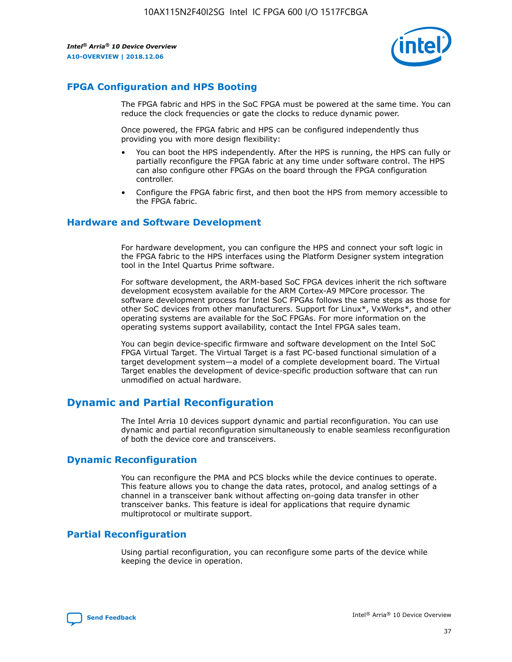![](_page_37_Picture_2.jpeg)

### **FPGA Configuration and HPS Booting**

The FPGA fabric and HPS in the SoC FPGA must be powered at the same time. You can reduce the clock frequencies or gate the clocks to reduce dynamic power.

Once powered, the FPGA fabric and HPS can be configured independently thus providing you with more design flexibility:

- You can boot the HPS independently. After the HPS is running, the HPS can fully or partially reconfigure the FPGA fabric at any time under software control. The HPS can also configure other FPGAs on the board through the FPGA configuration controller.
- Configure the FPGA fabric first, and then boot the HPS from memory accessible to the FPGA fabric.

### **Hardware and Software Development**

For hardware development, you can configure the HPS and connect your soft logic in the FPGA fabric to the HPS interfaces using the Platform Designer system integration tool in the Intel Quartus Prime software.

For software development, the ARM-based SoC FPGA devices inherit the rich software development ecosystem available for the ARM Cortex-A9 MPCore processor. The software development process for Intel SoC FPGAs follows the same steps as those for other SoC devices from other manufacturers. Support for Linux\*, VxWorks\*, and other operating systems are available for the SoC FPGAs. For more information on the operating systems support availability, contact the Intel FPGA sales team.

You can begin device-specific firmware and software development on the Intel SoC FPGA Virtual Target. The Virtual Target is a fast PC-based functional simulation of a target development system—a model of a complete development board. The Virtual Target enables the development of device-specific production software that can run unmodified on actual hardware.

### **Dynamic and Partial Reconfiguration**

The Intel Arria 10 devices support dynamic and partial reconfiguration. You can use dynamic and partial reconfiguration simultaneously to enable seamless reconfiguration of both the device core and transceivers.

### **Dynamic Reconfiguration**

You can reconfigure the PMA and PCS blocks while the device continues to operate. This feature allows you to change the data rates, protocol, and analog settings of a channel in a transceiver bank without affecting on-going data transfer in other transceiver banks. This feature is ideal for applications that require dynamic multiprotocol or multirate support.

### **Partial Reconfiguration**

Using partial reconfiguration, you can reconfigure some parts of the device while keeping the device in operation.

![](_page_37_Picture_18.jpeg)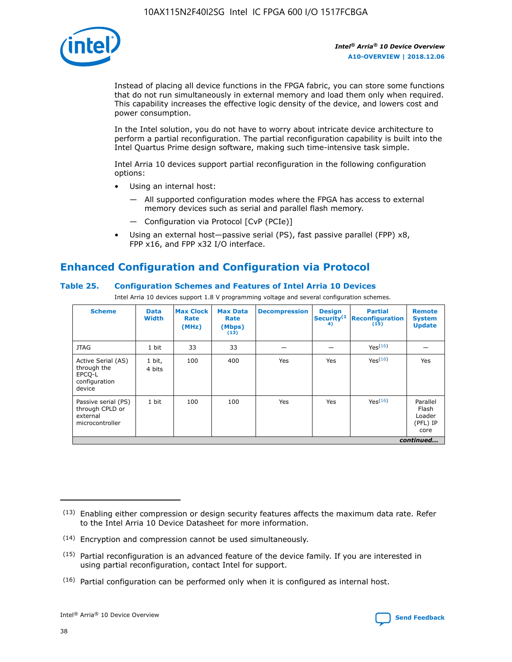![](_page_38_Picture_1.jpeg)

Instead of placing all device functions in the FPGA fabric, you can store some functions that do not run simultaneously in external memory and load them only when required. This capability increases the effective logic density of the device, and lowers cost and power consumption.

In the Intel solution, you do not have to worry about intricate device architecture to perform a partial reconfiguration. The partial reconfiguration capability is built into the Intel Quartus Prime design software, making such time-intensive task simple.

Intel Arria 10 devices support partial reconfiguration in the following configuration options:

- Using an internal host:
	- All supported configuration modes where the FPGA has access to external memory devices such as serial and parallel flash memory.
	- Configuration via Protocol [CvP (PCIe)]
- Using an external host—passive serial (PS), fast passive parallel (FPP) x8, FPP x16, and FPP x32 I/O interface.

### **Enhanced Configuration and Configuration via Protocol**

### **Table 25. Configuration Schemes and Features of Intel Arria 10 Devices**

Intel Arria 10 devices support 1.8 V programming voltage and several configuration schemes.

| <b>Scheme</b>                                                          | <b>Data</b><br><b>Width</b> | <b>Max Clock</b><br>Rate<br>(MHz) | <b>Max Data</b><br>Rate<br>(Mbps)<br>(13) | <b>Decompression</b> | <b>Design</b><br>Security <sup>(1</sup><br>4) | <b>Partial</b><br>Reconfiguration<br>(15) | <b>Remote</b><br><b>System</b><br><b>Update</b> |
|------------------------------------------------------------------------|-----------------------------|-----------------------------------|-------------------------------------------|----------------------|-----------------------------------------------|-------------------------------------------|-------------------------------------------------|
| <b>JTAG</b>                                                            | 1 bit                       | 33                                | 33                                        |                      |                                               | Yes(16)                                   |                                                 |
| Active Serial (AS)<br>through the<br>EPCO-L<br>configuration<br>device | 1 bit,<br>4 bits            | 100                               | 400                                       | Yes                  | Yes                                           | Yes(16)                                   | Yes                                             |
| Passive serial (PS)<br>through CPLD or<br>external<br>microcontroller  | 1 bit                       | 100                               | 100                                       | Yes                  | Yes                                           | Yes <sup>(16)</sup>                       | Parallel<br>Flash<br>Loader<br>(PFL) IP<br>core |
|                                                                        |                             |                                   |                                           |                      |                                               |                                           | continued                                       |

<sup>(13)</sup> Enabling either compression or design security features affects the maximum data rate. Refer to the Intel Arria 10 Device Datasheet for more information.

<sup>(14)</sup> Encryption and compression cannot be used simultaneously.

 $(15)$  Partial reconfiguration is an advanced feature of the device family. If you are interested in using partial reconfiguration, contact Intel for support.

 $(16)$  Partial configuration can be performed only when it is configured as internal host.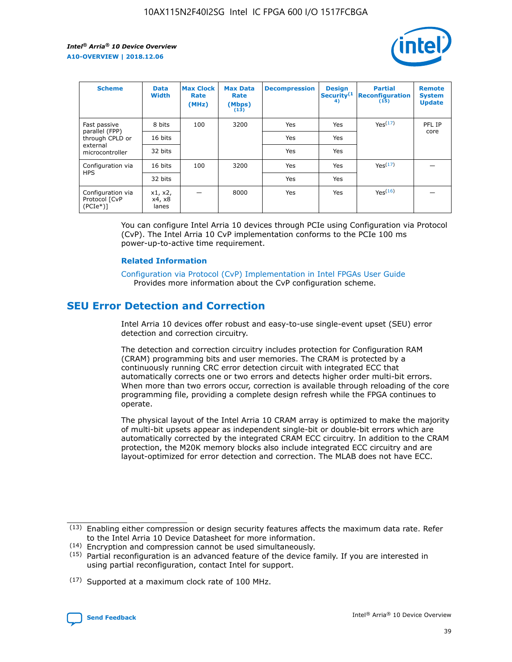![](_page_39_Picture_2.jpeg)

| <b>Scheme</b>                                    | <b>Data</b><br><b>Width</b> | <b>Max Clock</b><br>Rate<br>(MHz) | <b>Max Data</b><br>Rate<br>(Mbps)<br>(13) | <b>Decompression</b> | <b>Design</b><br>Security <sup>(1</sup><br>4) | <b>Partial</b><br><b>Reconfiguration</b><br>(15) | <b>Remote</b><br><b>System</b><br><b>Update</b> |
|--------------------------------------------------|-----------------------------|-----------------------------------|-------------------------------------------|----------------------|-----------------------------------------------|--------------------------------------------------|-------------------------------------------------|
| Fast passive                                     | 8 bits                      | 100                               | 3200                                      | <b>Yes</b>           | Yes                                           | Yes(17)                                          | PFL IP                                          |
| parallel (FPP)<br>through CPLD or                | 16 bits                     |                                   |                                           | Yes                  | Yes                                           |                                                  | core                                            |
| external<br>microcontroller                      | 32 bits                     |                                   |                                           | Yes                  | Yes                                           |                                                  |                                                 |
| Configuration via                                | 16 bits                     | 100                               | 3200                                      | Yes                  | Yes                                           | Yes <sup>(17)</sup>                              |                                                 |
| <b>HPS</b>                                       | 32 bits                     |                                   |                                           | Yes                  | Yes                                           |                                                  |                                                 |
| Configuration via<br>Protocol [CvP<br>$(PCIe^*)$ | x1, x2,<br>x4, x8<br>lanes  |                                   | 8000                                      | Yes                  | Yes                                           | Yes <sup>(16)</sup>                              |                                                 |

You can configure Intel Arria 10 devices through PCIe using Configuration via Protocol (CvP). The Intel Arria 10 CvP implementation conforms to the PCIe 100 ms power-up-to-active time requirement.

#### **Related Information**

[Configuration via Protocol \(CvP\) Implementation in Intel FPGAs User Guide](https://www.intel.com/content/www/us/en/programmable/documentation/dsu1441819344145.html#dsu1442269728522) Provides more information about the CvP configuration scheme.

### **SEU Error Detection and Correction**

Intel Arria 10 devices offer robust and easy-to-use single-event upset (SEU) error detection and correction circuitry.

The detection and correction circuitry includes protection for Configuration RAM (CRAM) programming bits and user memories. The CRAM is protected by a continuously running CRC error detection circuit with integrated ECC that automatically corrects one or two errors and detects higher order multi-bit errors. When more than two errors occur, correction is available through reloading of the core programming file, providing a complete design refresh while the FPGA continues to operate.

The physical layout of the Intel Arria 10 CRAM array is optimized to make the majority of multi-bit upsets appear as independent single-bit or double-bit errors which are automatically corrected by the integrated CRAM ECC circuitry. In addition to the CRAM protection, the M20K memory blocks also include integrated ECC circuitry and are layout-optimized for error detection and correction. The MLAB does not have ECC.

(14) Encryption and compression cannot be used simultaneously.

<sup>(17)</sup> Supported at a maximum clock rate of 100 MHz.

![](_page_39_Picture_15.jpeg)

 $(13)$  Enabling either compression or design security features affects the maximum data rate. Refer to the Intel Arria 10 Device Datasheet for more information.

 $(15)$  Partial reconfiguration is an advanced feature of the device family. If you are interested in using partial reconfiguration, contact Intel for support.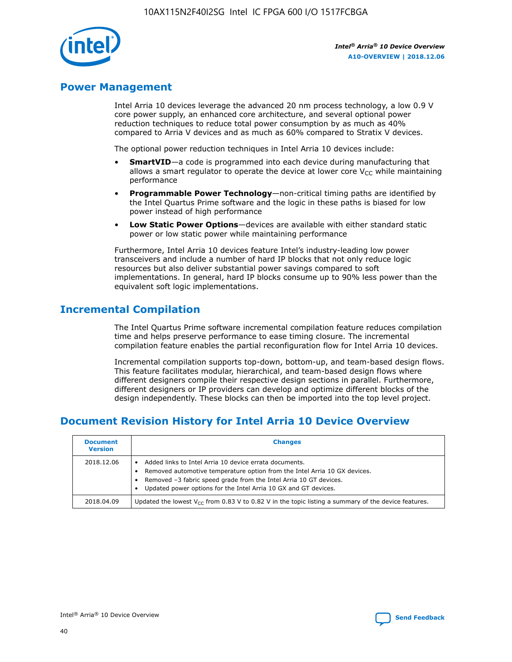![](_page_40_Picture_1.jpeg)

### **Power Management**

Intel Arria 10 devices leverage the advanced 20 nm process technology, a low 0.9 V core power supply, an enhanced core architecture, and several optional power reduction techniques to reduce total power consumption by as much as 40% compared to Arria V devices and as much as 60% compared to Stratix V devices.

The optional power reduction techniques in Intel Arria 10 devices include:

- **SmartVID**—a code is programmed into each device during manufacturing that allows a smart regulator to operate the device at lower core  $V_{CC}$  while maintaining performance
- **Programmable Power Technology**—non-critical timing paths are identified by the Intel Quartus Prime software and the logic in these paths is biased for low power instead of high performance
- **Low Static Power Options**—devices are available with either standard static power or low static power while maintaining performance

Furthermore, Intel Arria 10 devices feature Intel's industry-leading low power transceivers and include a number of hard IP blocks that not only reduce logic resources but also deliver substantial power savings compared to soft implementations. In general, hard IP blocks consume up to 90% less power than the equivalent soft logic implementations.

### **Incremental Compilation**

The Intel Quartus Prime software incremental compilation feature reduces compilation time and helps preserve performance to ease timing closure. The incremental compilation feature enables the partial reconfiguration flow for Intel Arria 10 devices.

Incremental compilation supports top-down, bottom-up, and team-based design flows. This feature facilitates modular, hierarchical, and team-based design flows where different designers compile their respective design sections in parallel. Furthermore, different designers or IP providers can develop and optimize different blocks of the design independently. These blocks can then be imported into the top level project.

### **Document Revision History for Intel Arria 10 Device Overview**

| <b>Document</b><br><b>Version</b> | <b>Changes</b>                                                                                                                                                                                                                                                              |
|-----------------------------------|-----------------------------------------------------------------------------------------------------------------------------------------------------------------------------------------------------------------------------------------------------------------------------|
| 2018.12.06                        | Added links to Intel Arria 10 device errata documents.<br>Removed automotive temperature option from the Intel Arria 10 GX devices.<br>Removed -3 fabric speed grade from the Intel Arria 10 GT devices.<br>Updated power options for the Intel Arria 10 GX and GT devices. |
| 2018.04.09                        | Updated the lowest $V_{CC}$ from 0.83 V to 0.82 V in the topic listing a summary of the device features.                                                                                                                                                                    |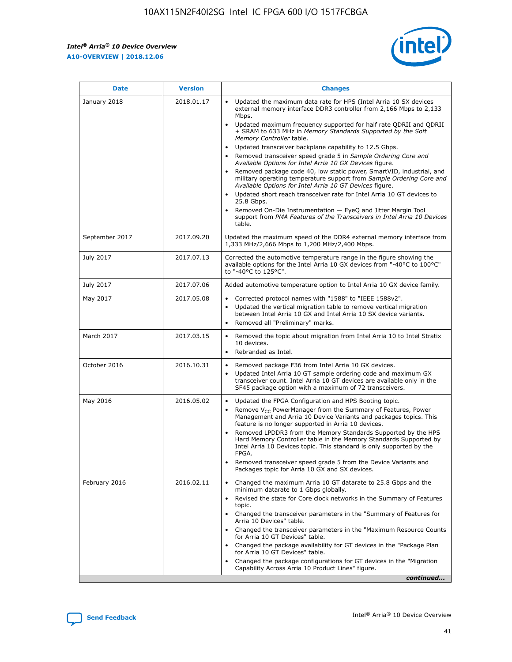*Intel® Arria® 10 Device Overview* **A10-OVERVIEW | 2018.12.06**

![](_page_41_Picture_2.jpeg)

| <b>Date</b>    | <b>Version</b> | <b>Changes</b>                                                                                                                                                                                                                                                                                                                                                                                                                                                                                                                                                                                                                                                                                                                                                                                                                                                                                                                                                            |
|----------------|----------------|---------------------------------------------------------------------------------------------------------------------------------------------------------------------------------------------------------------------------------------------------------------------------------------------------------------------------------------------------------------------------------------------------------------------------------------------------------------------------------------------------------------------------------------------------------------------------------------------------------------------------------------------------------------------------------------------------------------------------------------------------------------------------------------------------------------------------------------------------------------------------------------------------------------------------------------------------------------------------|
| January 2018   | 2018.01.17     | Updated the maximum data rate for HPS (Intel Arria 10 SX devices<br>external memory interface DDR3 controller from 2,166 Mbps to 2,133<br>Mbps.<br>Updated maximum frequency supported for half rate QDRII and QDRII<br>+ SRAM to 633 MHz in Memory Standards Supported by the Soft<br>Memory Controller table.<br>Updated transceiver backplane capability to 12.5 Gbps.<br>$\bullet$<br>Removed transceiver speed grade 5 in Sample Ordering Core and<br>Available Options for Intel Arria 10 GX Devices figure.<br>Removed package code 40, low static power, SmartVID, industrial, and<br>military operating temperature support from Sample Ordering Core and<br>Available Options for Intel Arria 10 GT Devices figure.<br>Updated short reach transceiver rate for Intel Arria 10 GT devices to<br>25.8 Gbps.<br>Removed On-Die Instrumentation - EyeQ and Jitter Margin Tool<br>support from PMA Features of the Transceivers in Intel Arria 10 Devices<br>table. |
| September 2017 | 2017.09.20     | Updated the maximum speed of the DDR4 external memory interface from<br>1,333 MHz/2,666 Mbps to 1,200 MHz/2,400 Mbps.                                                                                                                                                                                                                                                                                                                                                                                                                                                                                                                                                                                                                                                                                                                                                                                                                                                     |
| July 2017      | 2017.07.13     | Corrected the automotive temperature range in the figure showing the<br>available options for the Intel Arria 10 GX devices from "-40°C to 100°C"<br>to "-40°C to 125°C".                                                                                                                                                                                                                                                                                                                                                                                                                                                                                                                                                                                                                                                                                                                                                                                                 |
| July 2017      | 2017.07.06     | Added automotive temperature option to Intel Arria 10 GX device family.                                                                                                                                                                                                                                                                                                                                                                                                                                                                                                                                                                                                                                                                                                                                                                                                                                                                                                   |
| May 2017       | 2017.05.08     | Corrected protocol names with "1588" to "IEEE 1588v2".<br>$\bullet$<br>Updated the vertical migration table to remove vertical migration<br>$\bullet$<br>between Intel Arria 10 GX and Intel Arria 10 SX device variants.<br>Removed all "Preliminary" marks.<br>$\bullet$                                                                                                                                                                                                                                                                                                                                                                                                                                                                                                                                                                                                                                                                                                |
| March 2017     | 2017.03.15     | Removed the topic about migration from Intel Arria 10 to Intel Stratix<br>10 devices.<br>Rebranded as Intel.<br>$\bullet$                                                                                                                                                                                                                                                                                                                                                                                                                                                                                                                                                                                                                                                                                                                                                                                                                                                 |
| October 2016   | 2016.10.31     | Removed package F36 from Intel Arria 10 GX devices.<br>Updated Intel Arria 10 GT sample ordering code and maximum GX<br>$\bullet$<br>transceiver count. Intel Arria 10 GT devices are available only in the<br>SF45 package option with a maximum of 72 transceivers.                                                                                                                                                                                                                                                                                                                                                                                                                                                                                                                                                                                                                                                                                                     |
| May 2016       | 2016.05.02     | Updated the FPGA Configuration and HPS Booting topic.<br>$\bullet$<br>Remove V <sub>CC</sub> PowerManager from the Summary of Features, Power<br>Management and Arria 10 Device Variants and packages topics. This<br>feature is no longer supported in Arria 10 devices.<br>Removed LPDDR3 from the Memory Standards Supported by the HPS<br>Hard Memory Controller table in the Memory Standards Supported by<br>Intel Arria 10 Devices topic. This standard is only supported by the<br>FPGA.<br>Removed transceiver speed grade 5 from the Device Variants and<br>Packages topic for Arria 10 GX and SX devices.                                                                                                                                                                                                                                                                                                                                                      |
| February 2016  | 2016.02.11     | Changed the maximum Arria 10 GT datarate to 25.8 Gbps and the<br>minimum datarate to 1 Gbps globally.<br>Revised the state for Core clock networks in the Summary of Features<br>$\bullet$<br>topic.<br>Changed the transceiver parameters in the "Summary of Features for<br>$\bullet$<br>Arria 10 Devices" table.<br>• Changed the transceiver parameters in the "Maximum Resource Counts<br>for Arria 10 GT Devices" table.<br>Changed the package availability for GT devices in the "Package Plan<br>for Arria 10 GT Devices" table.<br>Changed the package configurations for GT devices in the "Migration"<br>Capability Across Arria 10 Product Lines" figure.<br>continued                                                                                                                                                                                                                                                                                       |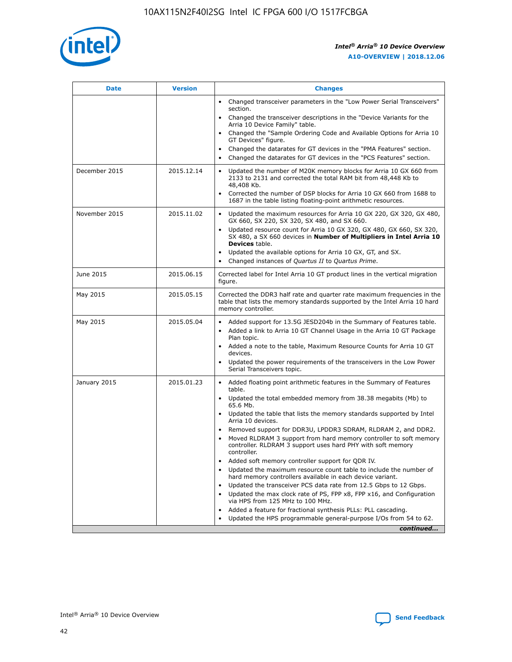![](_page_42_Picture_1.jpeg)

| <b>Date</b>   | <b>Version</b> | <b>Changes</b>                                                                                                                                                               |
|---------------|----------------|------------------------------------------------------------------------------------------------------------------------------------------------------------------------------|
|               |                | • Changed transceiver parameters in the "Low Power Serial Transceivers"<br>section.                                                                                          |
|               |                | • Changed the transceiver descriptions in the "Device Variants for the<br>Arria 10 Device Family" table.                                                                     |
|               |                | Changed the "Sample Ordering Code and Available Options for Arria 10<br>$\bullet$<br>GT Devices" figure.                                                                     |
|               |                | Changed the datarates for GT devices in the "PMA Features" section.                                                                                                          |
|               |                | Changed the datarates for GT devices in the "PCS Features" section.<br>$\bullet$                                                                                             |
| December 2015 | 2015.12.14     | Updated the number of M20K memory blocks for Arria 10 GX 660 from<br>2133 to 2131 and corrected the total RAM bit from 48,448 Kb to<br>48,408 Kb.                            |
|               |                | Corrected the number of DSP blocks for Arria 10 GX 660 from 1688 to<br>1687 in the table listing floating-point arithmetic resources.                                        |
| November 2015 | 2015.11.02     | Updated the maximum resources for Arria 10 GX 220, GX 320, GX 480,<br>$\bullet$<br>GX 660, SX 220, SX 320, SX 480, and SX 660.                                               |
|               |                | • Updated resource count for Arria 10 GX 320, GX 480, GX 660, SX 320,<br>SX 480, a SX 660 devices in Number of Multipliers in Intel Arria 10<br><b>Devices</b> table.        |
|               |                | Updated the available options for Arria 10 GX, GT, and SX.                                                                                                                   |
|               |                | Changed instances of Quartus II to Quartus Prime.<br>$\bullet$                                                                                                               |
| June 2015     | 2015.06.15     | Corrected label for Intel Arria 10 GT product lines in the vertical migration<br>figure.                                                                                     |
| May 2015      | 2015.05.15     | Corrected the DDR3 half rate and quarter rate maximum frequencies in the<br>table that lists the memory standards supported by the Intel Arria 10 hard<br>memory controller. |
| May 2015      | 2015.05.04     | • Added support for 13.5G JESD204b in the Summary of Features table.<br>• Added a link to Arria 10 GT Channel Usage in the Arria 10 GT Package<br>Plan topic.                |
|               |                | • Added a note to the table, Maximum Resource Counts for Arria 10 GT<br>devices.                                                                                             |
|               |                | • Updated the power requirements of the transceivers in the Low Power<br>Serial Transceivers topic.                                                                          |
| January 2015  | 2015.01.23     | • Added floating point arithmetic features in the Summary of Features<br>table.                                                                                              |
|               |                | • Updated the total embedded memory from 38.38 megabits (Mb) to<br>65.6 Mb.                                                                                                  |
|               |                | • Updated the table that lists the memory standards supported by Intel<br>Arria 10 devices.                                                                                  |
|               |                | Removed support for DDR3U, LPDDR3 SDRAM, RLDRAM 2, and DDR2.                                                                                                                 |
|               |                | Moved RLDRAM 3 support from hard memory controller to soft memory<br>controller. RLDRAM 3 support uses hard PHY with soft memory<br>controller.                              |
|               |                | Added soft memory controller support for QDR IV.<br>٠                                                                                                                        |
|               |                | Updated the maximum resource count table to include the number of<br>hard memory controllers available in each device variant.                                               |
|               |                | Updated the transceiver PCS data rate from 12.5 Gbps to 12 Gbps.<br>$\bullet$                                                                                                |
|               |                | Updated the max clock rate of PS, FPP x8, FPP x16, and Configuration<br>via HPS from 125 MHz to 100 MHz.                                                                     |
|               |                | Added a feature for fractional synthesis PLLs: PLL cascading.                                                                                                                |
|               |                | Updated the HPS programmable general-purpose I/Os from 54 to 62.<br>$\bullet$<br>continued                                                                                   |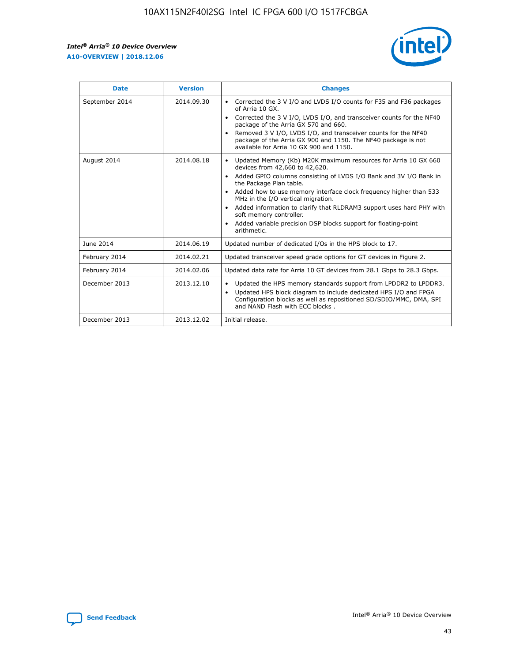r

![](_page_43_Picture_2.jpeg)

| <b>Date</b>    | <b>Version</b> | <b>Changes</b>                                                                                                                                                                                                                                                                                                                                                                                                                                                                                                                                      |
|----------------|----------------|-----------------------------------------------------------------------------------------------------------------------------------------------------------------------------------------------------------------------------------------------------------------------------------------------------------------------------------------------------------------------------------------------------------------------------------------------------------------------------------------------------------------------------------------------------|
| September 2014 | 2014.09.30     | Corrected the 3 V I/O and LVDS I/O counts for F35 and F36 packages<br>$\bullet$<br>of Arria 10 GX.<br>Corrected the 3 V I/O, LVDS I/O, and transceiver counts for the NF40<br>$\bullet$<br>package of the Arria GX 570 and 660.<br>Removed 3 V I/O, LVDS I/O, and transceiver counts for the NF40<br>package of the Arria GX 900 and 1150. The NF40 package is not<br>available for Arria 10 GX 900 and 1150.                                                                                                                                       |
| August 2014    | 2014.08.18     | Updated Memory (Kb) M20K maximum resources for Arria 10 GX 660<br>devices from 42,660 to 42,620.<br>Added GPIO columns consisting of LVDS I/O Bank and 3V I/O Bank in<br>$\bullet$<br>the Package Plan table.<br>Added how to use memory interface clock frequency higher than 533<br>$\bullet$<br>MHz in the I/O vertical migration.<br>Added information to clarify that RLDRAM3 support uses hard PHY with<br>$\bullet$<br>soft memory controller.<br>Added variable precision DSP blocks support for floating-point<br>$\bullet$<br>arithmetic. |
| June 2014      | 2014.06.19     | Updated number of dedicated I/Os in the HPS block to 17.                                                                                                                                                                                                                                                                                                                                                                                                                                                                                            |
| February 2014  | 2014.02.21     | Updated transceiver speed grade options for GT devices in Figure 2.                                                                                                                                                                                                                                                                                                                                                                                                                                                                                 |
| February 2014  | 2014.02.06     | Updated data rate for Arria 10 GT devices from 28.1 Gbps to 28.3 Gbps.                                                                                                                                                                                                                                                                                                                                                                                                                                                                              |
| December 2013  | 2013.12.10     | Updated the HPS memory standards support from LPDDR2 to LPDDR3.<br>Updated HPS block diagram to include dedicated HPS I/O and FPGA<br>$\bullet$<br>Configuration blocks as well as repositioned SD/SDIO/MMC, DMA, SPI<br>and NAND Flash with ECC blocks.                                                                                                                                                                                                                                                                                            |
| December 2013  | 2013.12.02     | Initial release.                                                                                                                                                                                                                                                                                                                                                                                                                                                                                                                                    |

![](_page_43_Picture_4.jpeg)